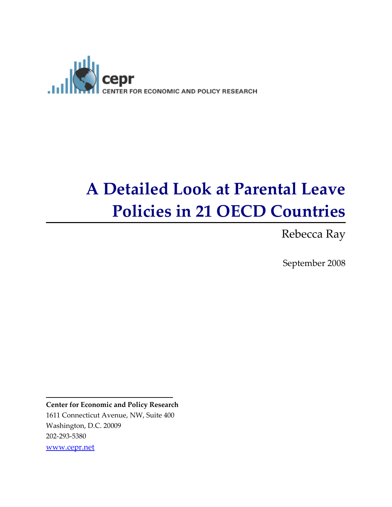

# A Detailed Look at Parental Leave Policies in 21 OECD Countries

Rebecca Ray

September 2008

Center for Economic and Policy Research 1611 Connecticut Avenue, NW, Suite 400 Washington, D.C. 20009 202-293-5380 www.cepr.net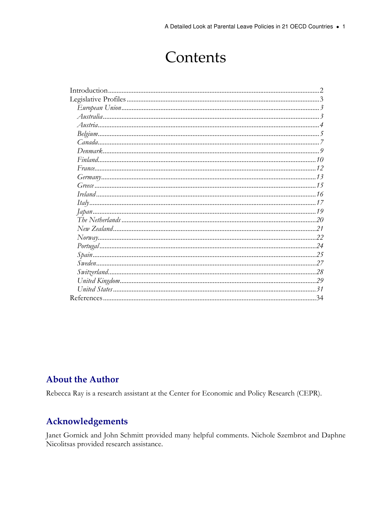# Contents

# **About the Author**

Rebecca Ray is a research assistant at the Center for Economic and Policy Research (CEPR).

# Acknowledgements

Janet Gornick and John Schmitt provided many helpful comments. Nichole Szembrot and Daphne Nicolitsas provided research assistance.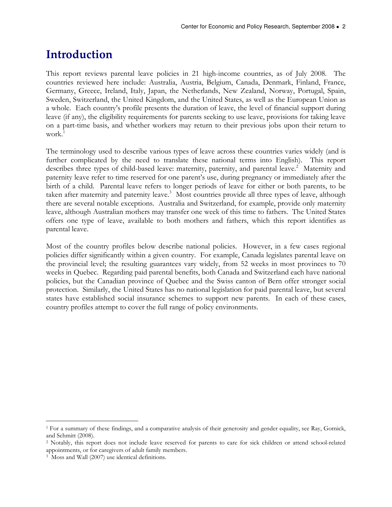# Introduction

This report reviews parental leave policies in 21 high-income countries, as of July 2008. The countries reviewed here include: Australia, Austria, Belgium, Canada, Denmark, Finland, France, Germany, Greece, Ireland, Italy, Japan, the Netherlands, New Zealand, Norway, Portugal, Spain, Sweden, Switzerland, the United Kingdom, and the United States, as well as the European Union as a whole. Each country's profile presents the duration of leave, the level of financial support during leave (if any), the eligibility requirements for parents seeking to use leave, provisions for taking leave on a part-time basis, and whether workers may return to their previous jobs upon their return to work.<sup>1</sup>

The terminology used to describe various types of leave across these countries varies widely (and is further complicated by the need to translate these national terms into English). This report describes three types of child-based leave: maternity, paternity, and parental leave.<sup>2</sup> Maternity and paternity leave refer to time reserved for one parent's use, during pregnancy or immediately after the birth of a child. Parental leave refers to longer periods of leave for either or both parents, to be taken after maternity and paternity leave.<sup>3</sup> Most countries provide all three types of leave, although there are several notable exceptions. Australia and Switzerland, for example, provide only maternity leave, although Australian mothers may transfer one week of this time to fathers. The United States offers one type of leave, available to both mothers and fathers, which this report identifies as parental leave.

Most of the country profiles below describe national policies. However, in a few cases regional policies differ significantly within a given country. For example, Canada legislates parental leave on the provincial level; the resulting guarantees vary widely, from 52 weeks in most provinces to 70 weeks in Quebec. Regarding paid parental benefits, both Canada and Switzerland each have national policies, but the Canadian province of Quebec and the Swiss canton of Bern offer stronger social protection. Similarly, the United States has no national legislation for paid parental leave, but several states have established social insurance schemes to support new parents. In each of these cases, country profiles attempt to cover the full range of policy environments.

 $\overline{a}$ 1 For a summary of these findings, and a comparative analysis of their generosity and gender equality, see Ray, Gornick, and Schmitt (2008).

<sup>2</sup> Notably, this report does not include leave reserved for parents to care for sick children or attend school-related appointments, or for caregivers of adult family members.

<sup>3</sup> Moss and Wall (2007) use identical definitions.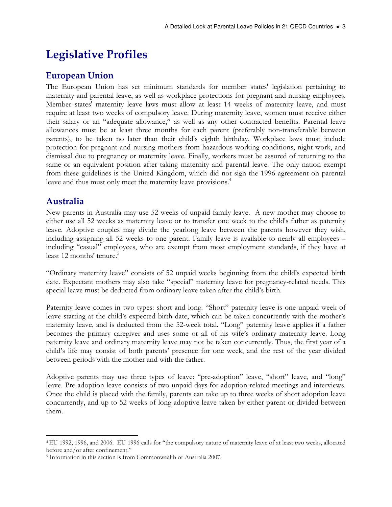# Legislative Profiles

# European Union

The European Union has set minimum standards for member states' legislation pertaining to maternity and parental leave, as well as workplace protections for pregnant and nursing employees. Member states' maternity leave laws must allow at least 14 weeks of maternity leave, and must require at least two weeks of compulsory leave. During maternity leave, women must receive either their salary or an "adequate allowance," as well as any other contracted benefits. Parental leave allowances must be at least three months for each parent (preferably non-transferable between parents), to be taken no later than their child's eighth birthday. Workplace laws must include protection for pregnant and nursing mothers from hazardous working conditions, night work, and dismissal due to pregnancy or maternity leave. Finally, workers must be assured of returning to the same or an equivalent position after taking maternity and parental leave. The only nation exempt from these guidelines is the United Kingdom, which did not sign the 1996 agreement on parental leave and thus must only meet the maternity leave provisions.<sup>4</sup>

# Australia

New parents in Australia may use 52 weeks of unpaid family leave. A new mother may choose to either use all 52 weeks as maternity leave or to transfer one week to the child's father as paternity leave. Adoptive couples may divide the yearlong leave between the parents however they wish, including assigning all 52 weeks to one parent. Family leave is available to nearly all employees – including "casual" employees, who are exempt from most employment standards, if they have at least 12 months' tenure.<sup>5</sup>

"Ordinary maternity leave" consists of 52 unpaid weeks beginning from the child's expected birth date. Expectant mothers may also take "special" maternity leave for pregnancy-related needs. This special leave must be deducted from ordinary leave taken after the child's birth.

Paternity leave comes in two types: short and long. "Short" paternity leave is one unpaid week of leave starting at the child's expected birth date, which can be taken concurrently with the mother's maternity leave, and is deducted from the 52-week total. "Long" paternity leave applies if a father becomes the primary caregiver and uses some or all of his wife's ordinary maternity leave. Long paternity leave and ordinary maternity leave may not be taken concurrently. Thus, the first year of a child's life may consist of both parents' presence for one week, and the rest of the year divided between periods with the mother and with the father.

Adoptive parents may use three types of leave: "pre-adoption" leave, "short" leave, and "long" leave. Pre-adoption leave consists of two unpaid days for adoption-related meetings and interviews. Once the child is placed with the family, parents can take up to three weeks of short adoption leave concurrently, and up to 52 weeks of long adoptive leave taken by either parent or divided between them.

 $\overline{a}$ <sup>4</sup>EU 1992, 1996, and 2006. EU 1996 calls for "the compulsory nature of maternity leave of at least two weeks, allocated before and/or after confinement."

<sup>5</sup> Information in this section is from Commonwealth of Australia 2007.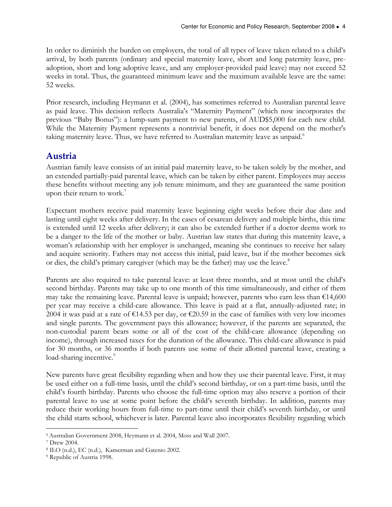In order to diminish the burden on employers, the total of all types of leave taken related to a child's arrival, by both parents (ordinary and special maternity leave, short and long paternity leave, preadoption, short and long adoptive leave, and any employer-provided paid leave) may not exceed 52 weeks in total. Thus, the guaranteed minimum leave and the maximum available leave are the same: 52 weeks.

Prior research, including Heymann et al. (2004), has sometimes referred to Australian parental leave as paid leave. This decision reflects Australia's "Maternity Payment" (which now incorporates the previous "Baby Bonus"): a lump-sum payment to new parents, of AUD\$5,000 for each new child. While the Maternity Payment represents a nontrivial benefit, it does not depend on the mother's taking maternity leave. Thus, we have referred to Australian maternity leave as unpaid.<sup>6</sup>

# Austria

Austrian family leave consists of an initial paid maternity leave, to be taken solely by the mother, and an extended partially-paid parental leave, which can be taken by either parent. Employees may access these benefits without meeting any job tenure minimum, and they are guaranteed the same position upon their return to work.<sup>7</sup>

Expectant mothers receive paid maternity leave beginning eight weeks before their due date and lasting until eight weeks after delivery. In the cases of cesarean delivery and multiple births, this time is extended until 12 weeks after delivery; it can also be extended further if a doctor deems work to be a danger to the life of the mother or baby. Austrian law states that during this maternity leave, a woman's relationship with her employer is unchanged, meaning she continues to receive her salary and acquire seniority. Fathers may not access this initial, paid leave, but if the mother becomes sick or dies, the child's primary caregiver (which may be the father) may use the leave.<sup>8</sup>

Parents are also required to take parental leave: at least three months, and at most until the child's second birthday. Parents may take up to one month of this time simultaneously, and either of them may take the remaining leave. Parental leave is unpaid; however, parents who earn less than  $\epsilon$ 14,600 per year may receive a child-care allowance. This leave is paid at a flat, annually-adjusted rate; in 2004 it was paid at a rate of €14.53 per day, or €20.59 in the case of families with very low incomes and single parents. The government pays this allowance; however, if the parents are separated, the non-custodial parent bears some or all of the cost of the child-care allowance (depending on income), through increased taxes for the duration of the allowance. This child-care allowance is paid for 30 months, or 36 months if both parents use some of their allotted parental leave, creating a load-sharing incentive.<sup>9</sup>

New parents have great flexibility regarding when and how they use their parental leave. First, it may be used either on a full-time basis, until the child's second birthday, or on a part-time basis, until the child's fourth birthday. Parents who choose the full-time option may also reserve a portion of their parental leave to use at some point before the child's seventh birthday. In addition, parents may reduce their working hours from full-time to part-time until their child's seventh birthday, or until the child starts school, whichever is later. Parental leave also incorporates flexibility regarding which

 $\overline{a}$ <sup>6</sup>Australian Government 2008, Heymann et al. 2004, Moss and Wall 2007.

<sup>7</sup> Drew 2004.

<sup>8</sup> ILO (n.d.), EC (n.d.), Kamerman and Gatenio 2002.

<sup>9</sup> Republic of Austria 1998.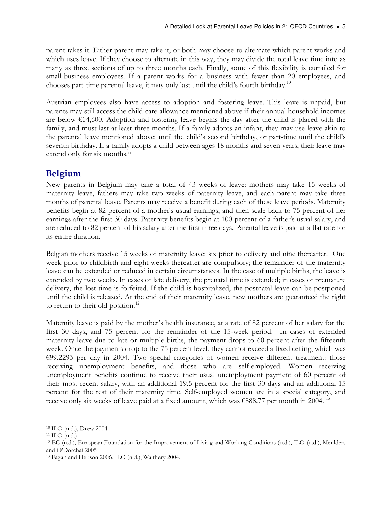parent takes it. Either parent may take it, or both may choose to alternate which parent works and which uses leave. If they choose to alternate in this way, they may divide the total leave time into as many as three sections of up to three months each. Finally, some of this flexibility is curtailed for small-business employees. If a parent works for a business with fewer than 20 employees, and chooses part-time parental leave, it may only last until the child's fourth birthday.<sup>10</sup>

Austrian employees also have access to adoption and fostering leave. This leave is unpaid, but parents may still access the child-care allowance mentioned above if their annual household incomes are below €14,600. Adoption and fostering leave begins the day after the child is placed with the family, and must last at least three months. If a family adopts an infant, they may use leave akin to the parental leave mentioned above: until the child's second birthday, or part-time until the child's seventh birthday. If a family adopts a child between ages 18 months and seven years, their leave may extend only for six months.<sup>11</sup>

# Belgium

New parents in Belgium may take a total of 43 weeks of leave: mothers may take 15 weeks of maternity leave, fathers may take two weeks of paternity leave, and each parent may take three months of parental leave. Parents may receive a benefit during each of these leave periods. Maternity benefits begin at 82 percent of a mother's usual earnings, and then scale back to 75 percent of her earnings after the first 30 days. Paternity benefits begin at 100 percent of a father's usual salary, and are reduced to 82 percent of his salary after the first three days. Parental leave is paid at a flat rate for its entire duration.

Belgian mothers receive 15 weeks of maternity leave: six prior to delivery and nine thereafter. One week prior to childbirth and eight weeks thereafter are compulsory; the remainder of the maternity leave can be extended or reduced in certain circumstances. In the case of multiple births, the leave is extended by two weeks. In cases of late delivery, the prenatal time is extended; in cases of premature delivery, the lost time is forfeited. If the child is hospitalized, the postnatal leave can be postponed until the child is released. At the end of their maternity leave, new mothers are guaranteed the right to return to their old position.<sup>12</sup>

Maternity leave is paid by the mother's health insurance, at a rate of 82 percent of her salary for the first 30 days, and 75 percent for the remainder of the 15-week period. In cases of extended maternity leave due to late or multiple births, the payment drops to 60 percent after the fifteenth week. Once the payments drop to the 75 percent level, they cannot exceed a fixed ceiling, which was €99.2293 per day in 2004. Two special categories of women receive different treatment: those receiving unemployment benefits, and those who are self-employed. Women receiving unemployment benefits continue to receive their usual unemployment payment of 60 percent of their most recent salary, with an additional 19.5 percent for the first 30 days and an additional 15 percent for the rest of their maternity time. Self-employed women are in a special category, and receive only six weeks of leave paid at a fixed amount, which was  $\epsilon$ 888.77 per month in 2004.<sup>13</sup>

 $\overline{a}$ 

<sup>10</sup> ILO (n.d.), Drew 2004.

 $11$  ILO (n.d.)

<sup>12</sup> EC (n.d.), European Foundation for the Improvement of Living and Working Conditions (n.d.), ILO (n.d.), Meulders and O'Dorchai 2005

<sup>13</sup> Fagan and Hebson 2006, ILO (n.d.), Walthery 2004.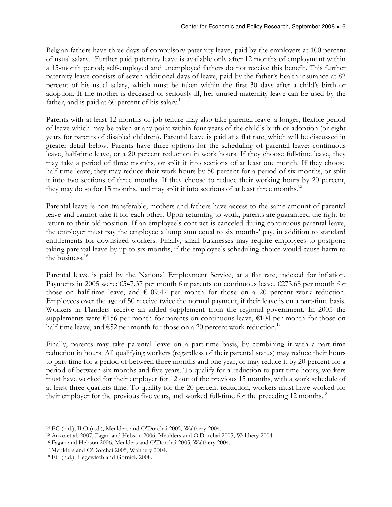Belgian fathers have three days of compulsory paternity leave, paid by the employers at 100 percent of usual salary. Further paid paternity leave is available only after 12 months of employment within a 15-month period; self-employed and unemployed fathers do not receive this benefit. This further paternity leave consists of seven additional days of leave, paid by the father's health insurance at 82 percent of his usual salary, which must be taken within the first 30 days after a child's birth or adoption. If the mother is deceased or seriously ill, her unused maternity leave can be used by the father, and is paid at 60 percent of his salary. $^{14}$ 

Parents with at least 12 months of job tenure may also take parental leave: a longer, flexible period of leave which may be taken at any point within four years of the child's birth or adoption (or eight years for parents of disabled children). Parental leave is paid at a flat rate, which will be discussed in greater detail below. Parents have three options for the scheduling of parental leave: continuous leave, half-time leave, or a 20 percent reduction in work hours. If they choose full-time leave, they may take a period of three months, or split it into sections of at least one month. If they choose half-time leave, they may reduce their work hours by 50 percent for a period of six months, or split it into two sections of three months. If they choose to reduce their working hours by 20 percent, they may do so for 15 months, and may split it into sections of at least three months.<sup>15</sup>

Parental leave is non-transferable; mothers and fathers have access to the same amount of parental leave and cannot take it for each other. Upon returning to work, parents are guaranteed the right to return to their old position. If an employee's contract is canceled during continuous parental leave, the employer must pay the employee a lump sum equal to six months' pay, in addition to standard entitlements for downsized workers. Finally, small businesses may require employees to postpone taking parental leave by up to six months, if the employee's scheduling choice would cause harm to the business.<sup>16</sup>

Parental leave is paid by the National Employment Service, at a flat rate, indexed for inflation. Payments in 2005 were: €547.37 per month for parents on continuous leave, €273.68 per month for those on half-time leave, and  $£109.47$  per month for those on a 20 percent work reduction. Employees over the age of 50 receive twice the normal payment, if their leave is on a part-time basis. Workers in Flanders receive an added supplement from the regional government. In 2005 the supplements were €156 per month for parents on continuous leave, €104 per month for those on half-time leave, and  $\epsilon$ 52 per month for those on a 20 percent work reduction.<sup>17</sup>

Finally, parents may take parental leave on a part-time basis, by combining it with a part-time reduction in hours. All qualifying workers (regardless of their parental status) may reduce their hours to part-time for a period of between three months and one year, or may reduce it by 20 percent for a period of between six months and five years. To qualify for a reduction to part-time hours, workers must have worked for their employer for 12 out of the previous 15 months, with a work schedule of at least three-quarters time. To qualify for the 20 percent reduction, workers must have worked for their employer for the previous five years, and worked full-time for the preceding 12 months.<sup>18</sup>

 $\overline{a}$ <sup>14</sup> EC (n.d.), ILO (n.d.), Meulders and O'Dorchai 2005, Walthery 2004.

<sup>15</sup> Anxo et al. 2007, Fagan and Hebson 2006, Meulders and O'Dorchai 2005, Walthery 2004.

<sup>16</sup> Fagan and Hebson 2006, Meulders and O'Dorchai 2005, Walthery 2004.

<sup>17</sup> Meulders and O'Dorchai 2005, Walthery 2004.

<sup>18</sup> EC (n.d.), Hegewisch and Gornick 2008.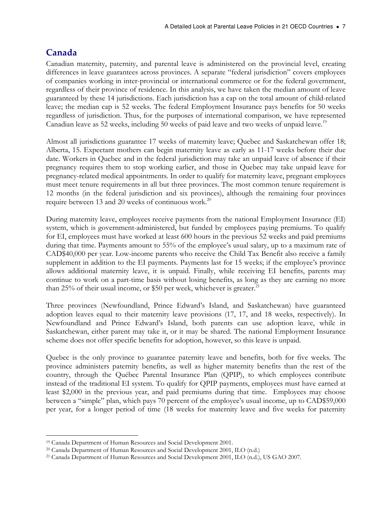# Canada

Canadian maternity, paternity, and parental leave is administered on the provincial level, creating differences in leave guarantees across provinces. A separate "federal jurisdiction" covers employees of companies working in inter-provincial or international commerce or for the federal government, regardless of their province of residence. In this analysis, we have taken the median amount of leave guaranteed by these 14 jurisdictions. Each jurisdiction has a cap on the total amount of child-related leave; the median cap is 52 weeks. The federal Employment Insurance pays benefits for 50 weeks regardless of jurisdiction. Thus, for the purposes of international comparison, we have represented Canadian leave as 52 weeks, including 50 weeks of paid leave and two weeks of unpaid leave.<sup>19</sup>

Almost all jurisdictions guarantee 17 weeks of maternity leave; Quebec and Saskatchewan offer 18; Alberta, 15. Expectant mothers can begin maternity leave as early as 11-17 weeks before their due date. Workers in Quebec and in the federal jurisdiction may take an unpaid leave of absence if their pregnancy requires them to stop working earlier, and those in Quebec may take unpaid leave for pregnancy-related medical appointments. In order to qualify for maternity leave, pregnant employees must meet tenure requirements in all but three provinces. The most common tenure requirement is 12 months (in the federal jurisdiction and six provinces), although the remaining four provinces require between 13 and 20 weeks of continuous work.<sup>20</sup>

During maternity leave, employees receive payments from the national Employment Insurance (EI) system, which is government-administered, but funded by employees paying premiums. To qualify for EI, employees must have worked at least 600 hours in the previous 52 weeks and paid premiums during that time. Payments amount to 55% of the employee's usual salary, up to a maximum rate of CAD\$40,000 per year. Low-income parents who receive the Child Tax Benefit also receive a family supplement in addition to the EI payments. Payments last for 15 weeks; if the employee's province allows additional maternity leave, it is unpaid. Finally, while receiving EI benefits, parents may continue to work on a part-time basis without losing benefits, as long as they are earning no more than 25% of their usual income, or \$50 per week, whichever is greater. $^{21}$ 

Three provinces (Newfoundland, Prince Edward's Island, and Saskatchewan) have guaranteed adoption leaves equal to their maternity leave provisions (17, 17, and 18 weeks, respectively). In Newfoundland and Prince Edward's Island, both parents can use adoption leave, while in Saskatchewan, either parent may take it, or it may be shared. The national Employment Insurance scheme does not offer specific benefits for adoption, however, so this leave is unpaid.

Quebec is the only province to guarantee paternity leave and benefits, both for five weeks. The province administers paternity benefits, as well as higher maternity benefits than the rest of the country, through the Québec Parental Insurance Plan (QPIP), to which employees contribute instead of the traditional EI system. To qualify for QPIP payments, employees must have earned at least \$2,000 in the previous year, and paid premiums during that time. Employees may choose between a "simple" plan, which pays 70 percent of the employee's usual income, up to CAD\$59,000 per year, for a longer period of time (18 weeks for maternity leave and five weeks for paternity

 $\overline{a}$ <sup>19</sup> Canada Department of Human Resources and Social Development 2001.

<sup>20</sup> Canada Department of Human Resources and Social Development 2001, ILO (n.d.)

<sup>21</sup> Canada Department of Human Resources and Social Development 2001, ILO (n.d.), US GAO 2007.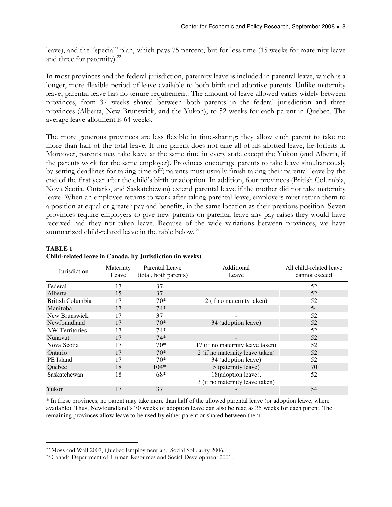leave), and the "special" plan, which pays 75 percent, but for less time (15 weeks for maternity leave and three for paternity). $^{22}$ 

In most provinces and the federal jurisdiction, paternity leave is included in parental leave, which is a longer, more flexible period of leave available to both birth and adoptive parents. Unlike maternity leave, parental leave has no tenure requirement. The amount of leave allowed varies widely between provinces, from 37 weeks shared between both parents in the federal jurisdiction and three provinces (Alberta, New Brunswick, and the Yukon), to 52 weeks for each parent in Quebec. The average leave allotment is 64 weeks.

The more generous provinces are less flexible in time-sharing: they allow each parent to take no more than half of the total leave. If one parent does not take all of his allotted leave, he forfeits it. Moreover, parents may take leave at the same time in every state except the Yukon (and Alberta, if the parents work for the same employer). Provinces encourage parents to take leave simultaneously by setting deadlines for taking time off; parents must usually finish taking their parental leave by the end of the first year after the child's birth or adoption. In addition, four provinces (British Columbia, Nova Scotia, Ontario, and Saskatchewan) extend parental leave if the mother did not take maternity leave. When an employee returns to work after taking parental leave, employers must return them to a position at equal or greater pay and benefits, in the same location as their previous position. Seven provinces require employers to give new parents on parental leave any pay raises they would have received had they not taken leave. Because of the wide variations between provinces, we have summarized child-related leave in the table below.<sup>23</sup>

| Jurisdiction          | Maternity<br>Leave | Parental Leave<br>(total, both parents) | Additional<br>Leave                                    | All child-related leave<br>cannot exceed |
|-----------------------|--------------------|-----------------------------------------|--------------------------------------------------------|------------------------------------------|
| Federal               | 17                 | 37                                      |                                                        | 52                                       |
| Alberta               | 15                 | 37                                      |                                                        | 52                                       |
| British Columbia      | 17                 | $70*$                                   | 2 (if no maternity taken)                              | 52                                       |
| Manitoba              | 17                 | $74*$                                   |                                                        | 54                                       |
| New Brunswick         | 17                 | 37                                      |                                                        | 52                                       |
| Newfoundland          | 17                 | $70*$                                   | 34 (adoption leave)                                    | 52                                       |
| <b>NW</b> Territories | 17                 | $74*$                                   |                                                        | 52                                       |
| Nunavut               | 17                 | $74*$                                   |                                                        | 52                                       |
| Nova Scotia           | 17                 | $70*$                                   | 17 (if no maternity leave taken)                       | 52                                       |
| Ontario               | 17                 | $70*$                                   | 2 (if no maternity leave taken)                        | 52                                       |
| PE Island             | 17                 | $70*$                                   | 34 (adoption leave)                                    | 52                                       |
| Quebec                | 18                 | $104*$                                  | 5 (paternity leave)                                    | 70                                       |
| Saskatchewan          | 18                 | 68*                                     | 18(adoption leave),<br>3 (if no maternity leave taken) | 52                                       |
| Yukon                 | 17                 | 37                                      |                                                        | 54                                       |

#### **TABLE 1 Child-related leave in Canada, by Jurisdiction (in weeks)**

\* In these provinces, no parent may take more than half of the allowed parental leave (or adoption leave, where available). Thus, Newfoundland's 70 weeks of adoption leave can also be read as 35 weeks for each parent. The remaining provinces allow leave to be used by either parent or shared between them.

 $\overline{a}$ 

<sup>22</sup> Moss and Wall 2007, Quebec Employment and Social Solidarity 2006.

<sup>23</sup> Canada Department of Human Resources and Social Development 2001.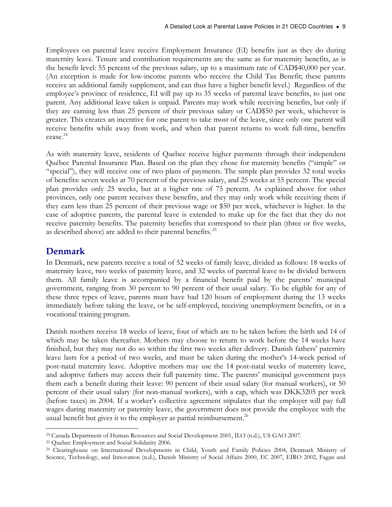Employees on parental leave receive Employment Insurance (EI) benefits just as they do during maternity leave. Tenure and contribution requirements are the same as for maternity benefits, as is the benefit level: 55 percent of the previous salary, up to a maximum rate of CAD\$40,000 per year. (An exception is made for low-income parents who receive the Child Tax Benefit; these parents receive an additional family supplement, and can thus have a higher benefit level.) Regardless of the employee's province of residence, EI will pay up to 35 weeks of parental leave benefits, to just one parent. Any additional leave taken is unpaid. Parents may work while receiving benefits, but only if they are earning less than 25 percent of their previous salary or CAD\$50 per week, whichever is greater. This creates an incentive for one parent to take most of the leave, since only one parent will receive benefits while away from work, and when that parent returns to work full-time, benefits cease. 24

As with maternity leave, residents of Quebec receive higher payments through their independent Québec Parental Insurance Plan. Based on the plan they chose for maternity benefits ("simple" or "special"), they will receive one of two plans of payments. The simple plan provides 32 total weeks of benefits: seven weeks at 70 percent of the previous salary, and 25 weeks at 55 percent. The special plan provides only 25 weeks, but at a higher rate of 75 percent. As explained above for other provinces, only one parent receives these benefits, and they may only work while receiving them if they earn less than 25 percent of their previous wage or \$50 per week, whichever is higher. In the case of adoptive parents, the parental leave is extended to make up for the fact that they do not receive paternity benefits. The paternity benefits that correspond to their plan (three or five weeks, as described above) are added to their parental benefits.<sup>25</sup>

# Denmark

In Denmark, new parents receive a total of 52 weeks of family leave, divided as follows: 18 weeks of maternity leave, two weeks of paternity leave, and 32 weeks of parental leave to be divided between them. All family leave is accompanied by a financial benefit paid by the parents' municipal government, ranging from 30 percent to 90 percent of their usual salary. To be eligible for any of these three types of leave, parents must have had 120 hours of employment during the 13 weeks immediately before taking the leave, or be self-employed, receiving unemployment benefits, or in a vocational training program.

Danish mothers receive 18 weeks of leave, four of which are to be taken before the birth and 14 of which may be taken thereafter. Mothers may choose to return to work before the 14 weeks have finished, but they may not do so within the first two weeks after delivery. Danish fathers' paternity leave lasts for a period of two weeks, and must be taken during the mother's 14-week period of post-natal maternity leave. Adoptive mothers may use the 14 post-natal weeks of maternity leave, and adoptive fathers may access their full paternity time. The parents' municipal government pays them each a benefit during their leave: 90 percent of their usual salary (for manual workers), or 50 percent of their usual salary (for non-manual workers), with a cap, which was DKK3205 per week (before taxes) in 2004. If a worker's collective agreement stipulates that the employer will pay full wages during maternity or paternity leave, the government does not provide the employee with the usual benefit but gives it to the employer as partial reimbursement. $^{26}$ 

 $\overline{a}$ <sup>24</sup> Canada Department of Human Resources and Social Development 2001, ILO (n.d.), US GAO 2007.

<sup>25</sup> Quebec Employment and Social Solidarity 2006.

<sup>26</sup> Clearinghouse on International Developments in Child, Youth and Family Policies 2004, Denmark Ministry of Science, Technology, and Innovation (n.d.), Danish Ministry of Social Affairs 2000, EC 2007, EIRO 2002, Fagan and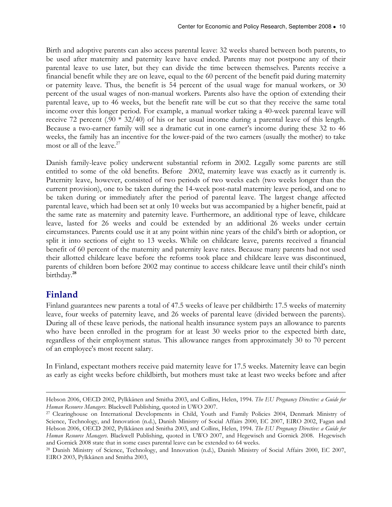Birth and adoptive parents can also access parental leave: 32 weeks shared between both parents, to be used after maternity and paternity leave have ended. Parents may not postpone any of their parental leave to use later, but they can divide the time between themselves. Parents receive a financial benefit while they are on leave, equal to the 60 percent of the benefit paid during maternity or paternity leave. Thus, the benefit is 54 percent of the usual wage for manual workers, or 30 percent of the usual wages of non-manual workers. Parents also have the option of extending their parental leave, up to 46 weeks, but the benefit rate will be cut so that they receive the same total income over this longer period. For example, a manual worker taking a 40-week parental leave will receive 72 percent (.90 \* 32/40) of his or her usual income during a parental leave of this length. Because a two-earner family will see a dramatic cut in one earner's income during these 32 to 46 weeks, the family has an incentive for the lower-paid of the two earners (usually the mother) to take most or all of the leave.<sup>27</sup>

Danish family-leave policy underwent substantial reform in 2002. Legally some parents are still entitled to some of the old benefits. Before 2002, maternity leave was exactly as it currently is. Paternity leave, however, consisted of two periods of two weeks each (two weeks longer than the current provision), one to be taken during the 14-week post-natal maternity leave period, and one to be taken during or immediately after the period of parental leave. The largest change affected parental leave, which had been set at only 10 weeks but was accompanied by a higher benefit, paid at the same rate as maternity and paternity leave. Furthermore, an additional type of leave, childcare leave, lasted for 26 weeks and could be extended by an additional 26 weeks under certain circumstances. Parents could use it at any point within nine years of the child's birth or adoption, or split it into sections of eight to 13 weeks. While on childcare leave, parents received a financial benefit of 60 percent of the maternity and paternity leave rates. Because many parents had not used their allotted childcare leave before the reforms took place and childcare leave was discontinued, parents of children born before 2002 may continue to access childcare leave until their child's ninth birthday.<sup>28</sup>

# Finland

Finland guarantees new parents a total of 47.5 weeks of leave per childbirth: 17.5 weeks of maternity leave, four weeks of paternity leave, and 26 weeks of parental leave (divided between the parents). During all of these leave periods, the national health insurance system pays an allowance to parents who have been enrolled in the program for at least 30 weeks prior to the expected birth date, regardless of their employment status. This allowance ranges from approximately 30 to 70 percent of an employee's most recent salary.

In Finland, expectant mothers receive paid maternity leave for 17.5 weeks. Maternity leave can begin as early as eight weeks before childbirth, but mothers must take at least two weeks before and after

 $\overline{a}$ Hebson 2006, OECD 2002, Pylkkänen and Smitha 2003, and Collins, Helen, 1994. The EU Pregnancy Directive: a Guide for Human Resource Managers. Blackwell Publishing, quoted in UWO 2007.

<sup>&</sup>lt;sup>27</sup> Clearinghouse on International Developments in Child, Youth and Family Policies 2004, Denmark Ministry of Science, Technology, and Innovation (n.d.), Danish Ministry of Social Affairs 2000, EC 2007, EIRO 2002, Fagan and Hebson 2006, OECD 2002, Pylkkänen and Smitha 2003, and Collins, Helen, 1994. The EU Pregnancy Directive: a Guide for Human Resource Managers. Blackwell Publishing, quoted in UWO 2007, and Hegewisch and Gornick 2008. Hegewisch and Gornick 2008 state that in some cases parental leave can be extended to 64 weeks.

<sup>28</sup> Danish Ministry of Science, Technology, and Innovation (n.d.), Danish Ministry of Social Affairs 2000, EC 2007, EIRO 2003, Pylkkänen and Smitha 2003,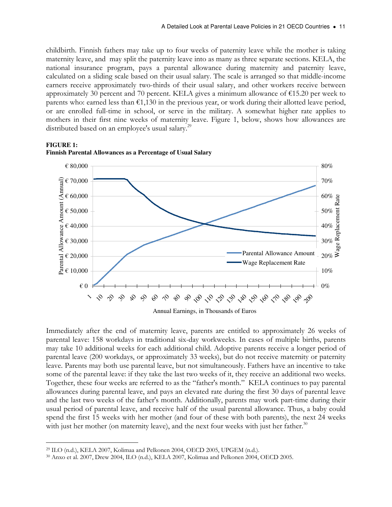childbirth. Finnish fathers may take up to four weeks of paternity leave while the mother is taking maternity leave, and may split the paternity leave into as many as three separate sections. KELA, the national insurance program, pays a parental allowance during maternity and paternity leave, calculated on a sliding scale based on their usual salary. The scale is arranged so that middle-income earners receive approximately two-thirds of their usual salary, and other workers receive between approximately 30 percent and 70 percent. KELA gives a minimum allowance of €15.20 per week to parents who: earned less than  $\epsilon$ 1,130 in the previous year, or work during their allotted leave period, or are enrolled full-time in school, or serve in the military. A somewhat higher rate applies to mothers in their first nine weeks of maternity leave. Figure 1, below, shows how allowances are distributed based on an employee's usual salary.<sup>29</sup>



#### **FIGURE 1: Finnish Parental Allowances as a Percentage of Usual Salary**

Immediately after the end of maternity leave, parents are entitled to approximately 26 weeks of parental leave: 158 workdays in traditional six-day workweeks. In cases of multiple births, parents may take 10 additional weeks for each additional child. Adoptive parents receive a longer period of parental leave (200 workdays, or approximately 33 weeks), but do not receive maternity or paternity leave. Parents may both use parental leave, but not simultaneously. Fathers have an incentive to take some of the parental leave: if they take the last two weeks of it, they receive an additional two weeks. Together, these four weeks are referred to as the "father's month." KELA continues to pay parental allowances during parental leave, and pays an elevated rate during the first 30 days of parental leave and the last two weeks of the father's month. Additionally, parents may work part-time during their usual period of parental leave, and receive half of the usual parental allowance. Thus, a baby could spend the first 15 weeks with her mother (and four of these with both parents), the next 24 weeks with just her mother (on maternity leave), and the next four weeks with just her father. $30$ 

 $\overline{a}$ 

<sup>29</sup> ILO (n.d.), KELA 2007, Kolimaa and Pelkonen 2004, OECD 2005, UPGEM (n.d.).

<sup>30</sup> Anxo et al. 2007, Drew 2004, ILO (n.d.), KELA 2007, Kolimaa and Pelkonen 2004, OECD 2005.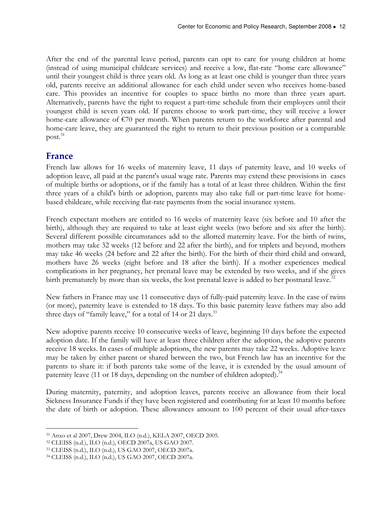After the end of the parental leave period, parents can opt to care for young children at home (instead of using municipal childcare services) and receive a low, flat-rate "home care allowance" until their youngest child is three years old. As long as at least one child is younger than three years old, parents receive an additional allowance for each child under seven who receives home-based care. This provides an incentive for couples to space births no more than three years apart. Alternatively, parents have the right to request a part-time schedule from their employers until their youngest child is seven years old. If parents choose to work part-time, they will receive a lower home-care allowance of €70 per month. When parents return to the workforce after parental and home-care leave, they are guaranteed the right to return to their previous position or a comparable  $post.<sup>31</sup>$ 

### France

French law allows for 16 weeks of maternity leave, 11 days of paternity leave, and 10 weeks of adoption leave, all paid at the parent's usual wage rate. Parents may extend these provisions in cases of multiple births or adoptions, or if the family has a total of at least three children. Within the first three years of a child's birth or adoption, parents may also take full or part-time leave for homebased childcare, while receiving flat-rate payments from the social insurance system.

French expectant mothers are entitled to 16 weeks of maternity leave (six before and 10 after the birth), although they are required to take at least eight weeks (two before and six after the birth). Several different possible circumstances add to the allotted maternity leave. For the birth of twins, mothers may take 32 weeks (12 before and 22 after the birth), and for triplets and beyond, mothers may take 46 weeks (24 before and 22 after the birth). For the birth of their third child and onward, mothers have 26 weeks (eight before and 18 after the birth). If a mother experiences medical complications in her pregnancy, her prenatal leave may be extended by two weeks, and if she gives birth prematurely by more than six weeks, the lost prenatal leave is added to her postnatal leave.<sup>32</sup>

New fathers in France may use 11 consecutive days of fully-paid paternity leave. In the case of twins (or more), paternity leave is extended to 18 days. To this basic paternity leave fathers may also add three days of "family leave," for a total of 14 or 21 days.<sup>33</sup>

New adoptive parents receive 10 consecutive weeks of leave, beginning 10 days before the expected adoption date. If the family will have at least three children after the adoption, the adoptive parents receive 18 weeks. In cases of multiple adoptions, the new parents may take 22 weeks. Adoptive leave may be taken by either parent or shared between the two, but French law has an incentive for the parents to share it: if both parents take some of the leave, it is extended by the usual amount of paternity leave (11 or 18 days, depending on the number of children adopted).<sup>34</sup>

During maternity, paternity, and adoption leaves, parents receive an allowance from their local Sickness Insurance Funds if they have been registered and contributing for at least 10 months before the date of birth or adoption. These allowances amount to 100 percent of their usual after-taxes

 $\overline{a}$ <sup>31</sup> Anxo et al 2007, Drew 2004, ILO (n.d.), KELA 2007, OECD 2005.

<sup>32</sup> CLEISS (n.d.), ILO (n.d.), OECD 2007a, US GAO 2007.

<sup>33</sup> CLEISS (n.d.), ILO (n.d.), US GAO 2007, OECD 2007a.

<sup>34</sup> CLEISS (n.d.), ILO (n.d.), US GAO 2007, OECD 2007a.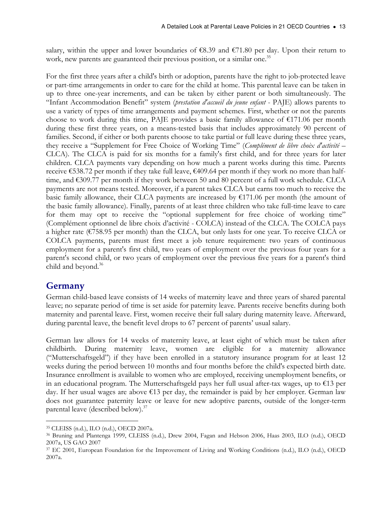salary, within the upper and lower boundaries of  $\epsilon$ 8.39 and  $\epsilon$ 71.80 per day. Upon their return to work, new parents are guaranteed their previous position, or a similar one.<sup>35</sup>

For the first three years after a child's birth or adoption, parents have the right to job-protected leave or part-time arrangements in order to care for the child at home. This parental leave can be taken in up to three one-year increments, and can be taken by either parent or both simultaneously. The "Infant Accommodation Benefit" system (prestation d'accueil du jeune enfant - PAJE) allows parents to use a variety of types of time arrangements and payment schemes. First, whether or not the parents choose to work during this time, PAJE provides a basic family allowance of €171.06 per month during these first three years, on a means-tested basis that includes approximately 90 percent of families. Second, if either or both parents choose to take partial or full leave during these three years, they receive a "Supplement for Free Choice of Working Time" (Complément de libre choix d'activité – CLCA). The CLCA is paid for six months for a family's first child, and for three years for later children. CLCA payments vary depending on how much a parent works during this time. Parents receive €538.72 per month if they take full leave, €409.64 per month if they work no more than halftime, and €309.77 per month if they work between 50 and 80 percent of a full work schedule. CLCA payments are not means tested. Moreover, if a parent takes CLCA but earns too much to receive the basic family allowance, their CLCA payments are increased by  $E171.06$  per month (the amount of the basic family allowance). Finally, parents of at least three children who take full-time leave to care for them may opt to receive the "optional supplement for free choice of working time" (Complément optionnel de libre choix d'activité - COLCA) instead of the CLCA. The COLCA pays a higher rate (€758.95 per month) than the CLCA, but only lasts for one year. To receive CLCA or COLCA payments, parents must first meet a job tenure requirement: two years of continuous employment for a parent's first child, two years of employment over the previous four years for a parent's second child, or two years of employment over the previous five years for a parent's third child and beyond.<sup>36</sup>

# Germany

German child-based leave consists of 14 weeks of maternity leave and three years of shared parental leave; no separate period of time is set aside for paternity leave. Parents receive benefits during both maternity and parental leave. First, women receive their full salary during maternity leave. Afterward, during parental leave, the benefit level drops to 67 percent of parents' usual salary.

German law allows for 14 weeks of maternity leave, at least eight of which must be taken after childbirth. During maternity leave, women are eligible for a maternity allowance ("Mutterschaftsgeld") if they have been enrolled in a statutory insurance program for at least 12 weeks during the period between 10 months and four months before the child's expected birth date. Insurance enrollment is available to women who are employed, receiving unemployment benefits, or in an educational program. The Mutterschaftsgeld pays her full usual after-tax wages, up to €13 per day. If her usual wages are above €13 per day, the remainder is paid by her employer. German law does not guarantee paternity leave or leave for new adoptive parents, outside of the longer-term parental leave (described below).<sup>37</sup>

 $\overline{a}$ <sup>35</sup> CLEISS (n.d.), ILO (n.d.), OECD 2007a.

<sup>36</sup> Bruning and Plantenga 1999, CLEISS (n.d.), Drew 2004, Fagan and Hebson 2006, Haas 2003, ILO (n.d.), OECD 2007a, US GAO 2007

<sup>37</sup> EC 2001, European Foundation for the Improvement of Living and Working Conditions (n.d.), ILO (n.d.), OECD 2007a.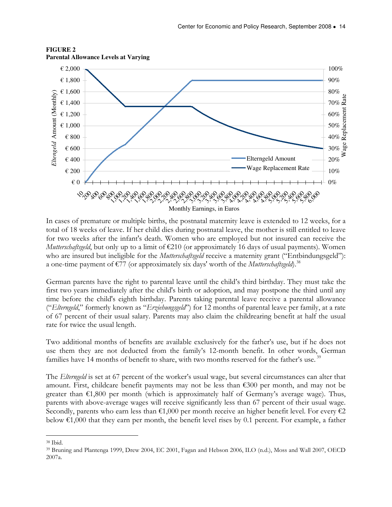

#### **FIGURE 2 Parental Allowance Levels at Varying**

In cases of premature or multiple births, the postnatal maternity leave is extended to 12 weeks, for a total of 18 weeks of leave. If her child dies during postnatal leave, the mother is still entitled to leave for two weeks after the infant's death. Women who are employed but not insured can receive the Mutterschaftsgeld, but only up to a limit of  $\epsilon$ 210 (or approximately 16 days of usual payments). Women who are insured but ineligible for the *Mutterschaftsgeld* receive a maternity grant ("Entbindungsgeld"): a one-time payment of  $\epsilon$ 77 (or approximately six days' worth of the *Mutterschaftsgeld*).<sup>38</sup>

German parents have the right to parental leave until the child's third birthday. They must take the first two years immediately after the child's birth or adoption, and may postpone the third until any time before the child's eighth birthday. Parents taking parental leave receive a parental allowance ("Elterngeld," formerly known as "Erziehungsgeld") for 12 months of parental leave per family, at a rate of 67 percent of their usual salary. Parents may also claim the childrearing benefit at half the usual rate for twice the usual length.

Two additional months of benefits are available exclusively for the father's use, but if he does not use them they are not deducted from the family's 12-month benefit. In other words, German families have 14 months of benefit to share, with two months reserved for the father's use.<sup>39</sup>

The *Elterngeld* is set at 67 percent of the worker's usual wage, but several circumstances can alter that amount. First, childcare benefit payments may not be less than  $\epsilon$ 300 per month, and may not be greater than  $\epsilon$ 1,800 per month (which is approximately half of Germany's average wage). Thus, parents with above-average wages will receive significantly less than 67 percent of their usual wage. Secondly, parents who earn less than  $\epsilon 1,000$  per month receive an higher benefit level. For every  $\epsilon 2$ below  $\epsilon$ 1,000 that they earn per month, the benefit level rises by 0.1 percent. For example, a father

 $\overline{a}$ <sup>38</sup> Ibid.

<sup>39</sup> Bruning and Plantenga 1999, Drew 2004, EC 2001, Fagan and Hebson 2006, ILO (n.d.), Moss and Wall 2007, OECD 2007a.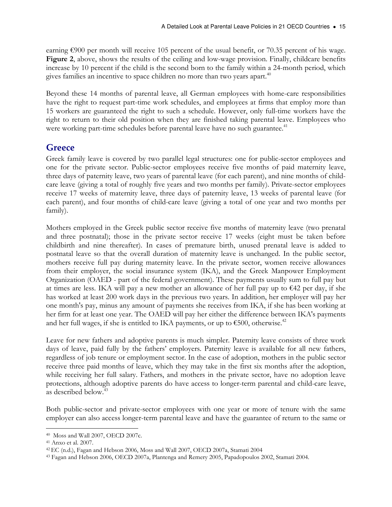earning €900 per month will receive 105 percent of the usual benefit, or 70.35 percent of his wage. Figure 2, above, shows the results of the ceiling and low-wage provision. Finally, childcare benefits increase by 10 percent if the child is the second born to the family within a 24-month period, which gives families an incentive to space children no more than two years apart. $^{40}$ 

Beyond these 14 months of parental leave, all German employees with home-care responsibilities have the right to request part-time work schedules, and employees at firms that employ more than 15 workers are guaranteed the right to such a schedule. However, only full-time workers have the right to return to their old position when they are finished taking parental leave. Employees who were working part-time schedules before parental leave have no such guarantee.<sup>41</sup>

# **Greece**

Greek family leave is covered by two parallel legal structures: one for public-sector employees and one for the private sector. Public-sector employees receive five months of paid maternity leave, three days of paternity leave, two years of parental leave (for each parent), and nine months of childcare leave (giving a total of roughly five years and two months per family). Private-sector employees receive 17 weeks of maternity leave, three days of paternity leave, 13 weeks of parental leave (for each parent), and four months of child-care leave (giving a total of one year and two months per family).

Mothers employed in the Greek public sector receive five months of maternity leave (two prenatal and three postnatal); those in the private sector receive 17 weeks (eight must be taken before childbirth and nine thereafter). In cases of premature birth, unused prenatal leave is added to postnatal leave so that the overall duration of maternity leave is unchanged. In the public sector, mothers receive full pay during maternity leave. In the private sector, women receive allowances from their employer, the social insurance system (IKA), and the Greek Manpower Employment Organization (OAED - part of the federal government). These payments usually sum to full pay but at times are less. IKA will pay a new mother an allowance of her full pay up to  $\epsilon$ 42 per day, if she has worked at least 200 work days in the previous two years. In addition, her employer will pay her one month's pay, minus any amount of payments she receives from IKA, if she has been working at her firm for at least one year. The OAED will pay her either the difference between IKA's payments and her full wages, if she is entitled to IKA payments, or up to  $$500$ , otherwise.<sup>42</sup>

Leave for new fathers and adoptive parents is much simpler. Paternity leave consists of three work days of leave, paid fully by the fathers' employers. Paternity leave is available for all new fathers, regardless of job tenure or employment sector. In the case of adoption, mothers in the public sector receive three paid months of leave, which they may take in the first six months after the adoption, while receiving her full salary. Fathers, and mothers in the private sector, have no adoption leave protections, although adoptive parents do have access to longer-term parental and child-care leave, as described below.<sup>43</sup>

Both public-sector and private-sector employees with one year or more of tenure with the same employer can also access longer-term parental leave and have the guarantee of return to the same or

 $\overline{a}$ <sup>40</sup> Moss and Wall 2007, OECD 2007c.

<sup>41</sup> Anxo et al. 2007.

<sup>42</sup>EC (n.d.), Fagan and Hebson 2006, Moss and Wall 2007, OECD 2007a, Stamati 2004

<sup>43</sup> Fagan and Hebson 2006, OECD 2007a, Plantenga and Remery 2005, Papadopoulos 2002, Stamati 2004.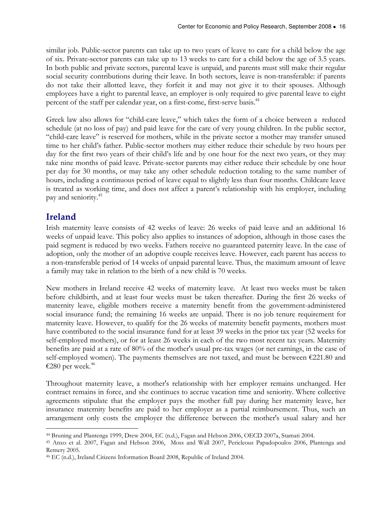similar job. Public-sector parents can take up to two years of leave to care for a child below the age of six. Private-sector parents can take up to 13 weeks to care for a child below the age of 3.5 years. In both public and private sectors, parental leave is unpaid, and parents must still make their regular social security contributions during their leave. In both sectors, leave is non-transferable: if parents do not take their allotted leave, they forfeit it and may not give it to their spouses. Although employees have a right to parental leave, an employer is only required to give parental leave to eight percent of the staff per calendar year, on a first-come, first-serve basis.<sup>44</sup>

Greek law also allows for "child-care leave," which takes the form of a choice between a reduced schedule (at no loss of pay) and paid leave for the care of very young children. In the public sector, "child-care leave" is reserved for mothers, while in the private sector a mother may transfer unused time to her child's father. Public-sector mothers may either reduce their schedule by two hours per day for the first two years of their child's life and by one hour for the next two years, or they may take nine months of paid leave. Private-sector parents may either reduce their schedule by one hour per day for 30 months, or may take any other schedule reduction totaling to the same number of hours, including a continuous period of leave equal to slightly less than four months. Childcare leave is treated as working time, and does not affect a parent's relationship with his employer, including pay and seniority.<sup>45</sup>

# Ireland

Irish maternity leave consists of 42 weeks of leave: 26 weeks of paid leave and an additional 16 weeks of unpaid leave. This policy also applies to instances of adoption, although in those cases the paid segment is reduced by two weeks. Fathers receive no guaranteed paternity leave. In the case of adoption, only the mother of an adoptive couple receives leave. However, each parent has access to a non-transferable period of 14 weeks of unpaid parental leave. Thus, the maximum amount of leave a family may take in relation to the birth of a new child is 70 weeks.

New mothers in Ireland receive 42 weeks of maternity leave. At least two weeks must be taken before childbirth, and at least four weeks must be taken thereafter. During the first 26 weeks of maternity leave, eligible mothers receive a maternity benefit from the government-administered social insurance fund; the remaining 16 weeks are unpaid. There is no job tenure requirement for maternity leave. However, to qualify for the 26 weeks of maternity benefit payments, mothers must have contributed to the social insurance fund for at least 39 weeks in the prior tax year (52 weeks for self-employed mothers), or for at least 26 weeks in each of the two most recent tax years. Maternity benefits are paid at a rate of 80% of the mother's usual pre-tax wages (or net earnings, in the case of self-employed women). The payments themselves are not taxed, and must be between €221.80 and €280 per week. $^{46}$ 

Throughout maternity leave, a mother's relationship with her employer remains unchanged. Her contract remains in force, and she continues to accrue vacation time and seniority. Where collective agreements stipulate that the employer pays the mother full pay during her maternity leave, her insurance maternity benefits are paid to her employer as a partial reimbursement. Thus, such an arrangement only costs the employer the difference between the mother's usual salary and her

 $\overline{a}$ <sup>44</sup> Bruning and Plantenga 1999, Drew 2004, EC (n.d.), Fagan and Hebson 2006, OECD 2007a, Stamati 2004.

<sup>45</sup> Anxo et al. 2007, Fagan and Hebson 2006, Moss and Wall 2007, Pericleous Papadopoulos 2006, Plantenga and Remery 2005.

<sup>46</sup> EC (n.d.), Ireland Citizens Information Board 2008, Republic of Ireland 2004.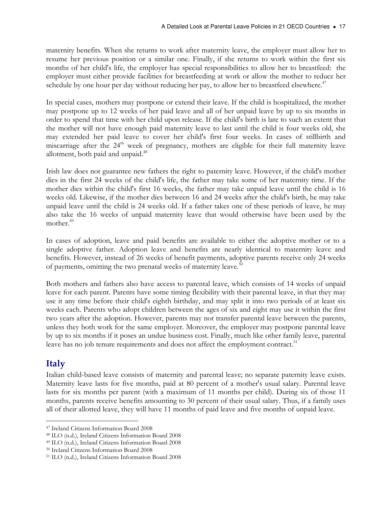maternity benefits. When she returns to work after maternity leave, the employer must allow her to resume her previous position or a similar one. Finally, if she returns to work within the first six months of her child's life, the employer has special responsibilities to allow her to breastfeed: the employer must either provide facilities for breastfeeding at work or allow the mother to reduce her schedule by one hour per day without reducing her pay, to allow her to breastfeed elsewhere.<sup>47</sup>

In special cases, mothers may postpone or extend their leave. If the child is hospitalized, the mother may postpone up to 12 weeks of her paid leave and all of her unpaid leave by up to six months in order to spend that time with her child upon release. If the child's birth is late to such an extent that the mother will not have enough paid maternity leave to last until the child is four weeks old, she may extended her paid leave to cover her child's first four weeks. In cases of stillbirth and miscarriage after the  $24<sup>th</sup>$  week of pregnancy, mothers are eligible for their full maternity leave allotment, both paid and unpaid.<sup>48</sup>

Irish law does not guarantee new fathers the right to paternity leave. However, if the child's mother dies in the first 24 weeks of the child's life, the father may take some of her maternity time. If the mother dies within the child's first 16 weeks, the father may take unpaid leave until the child is 16 weeks old. Likewise, if the mother dies between 16 and 24 weeks after the child's birth, he may take unpaid leave until the child is 24 weeks old. If a father takes one of these periods of leave, he may also take the 16 weeks of unpaid maternity leave that would otherwise have been used by the mother.<sup>49</sup>

In cases of adoption, leave and paid benefits are available to either the adoptive mother or to a single adoptive father. Adoption leave and benefits are nearly identical to maternity leave and benefits. However, instead of 26 weeks of benefit payments, adoptive parents receive only 24 weeks of payments, omitting the two prenatal weeks of maternity leave.<sup>50</sup>

Both mothers and fathers also have access to parental leave, which consists of 14 weeks of unpaid leave for each parent. Parents have some timing flexibility with their parental leave, in that they may use it any time before their child's eighth birthday, and may split it into two periods of at least six weeks each. Parents who adopt children between the ages of six and eight may use it within the first two years after the adoption. However, parents may not transfer parental leave between the parents, unless they both work for the same employer. Moreover, the employer may postpone parental leave by up to six months if it poses an undue business cost. Finally, much like other family leave, parental leave has no job tenure requirements and does not affect the employment contract.<sup>51</sup>

# Italy

Italian child-based leave consists of maternity and parental leave; no separate paternity leave exists. Maternity leave lasts for five months, paid at 80 percent of a mother's usual salary. Parental leave lasts for six months per parent (with a maximum of 11 months per child). During six of those 11 months, parents receive benefits amounting to 30 percent of their usual salary. Thus, if a family uses all of their allotted leave, they will have 11 months of paid leave and five months of unpaid leave.

 $\overline{a}$ <sup>47</sup> Ireland Citizens Information Board 2008

<sup>48</sup> ILO (n.d.), Ireland Citizens Information Board 2008

<sup>49</sup> ILO (n.d.), Ireland Citizens Information Board 2008

<sup>50</sup> Ireland Citizens Information Board 2008

<sup>51</sup> ILO (n.d.), Ireland Citizens Information Board 2008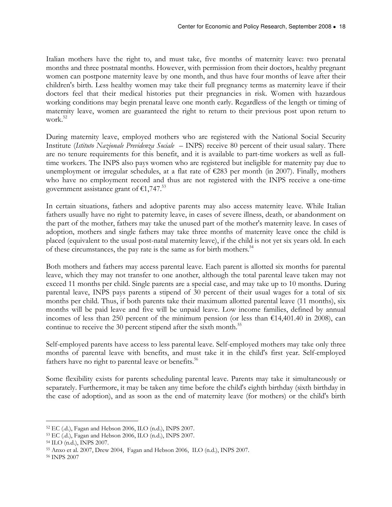Italian mothers have the right to, and must take, five months of maternity leave: two prenatal months and three postnatal months. However, with permission from their doctors, healthy pregnant women can postpone maternity leave by one month, and thus have four months of leave after their children's birth. Less healthy women may take their full pregnancy terms as maternity leave if their doctors feel that their medical histories put their pregnancies in risk. Women with hazardous working conditions may begin prenatal leave one month early. Regardless of the length or timing of maternity leave, women are guaranteed the right to return to their previous post upon return to work.<sup>52</sup>

During maternity leave, employed mothers who are registered with the National Social Security Institute (Istituto Nazionale Previdenza Sociale – INPS) receive 80 percent of their usual salary. There are no tenure requirements for this benefit, and it is available to part-time workers as well as fulltime workers. The INPS also pays women who are registered but ineligible for maternity pay due to unemployment or irregular schedules, at a flat rate of  $\epsilon$ 283 per month (in 2007). Finally, mothers who have no employment record and thus are not registered with the INPS receive a one-time government assistance grant of  $\epsilon$ 1,747.<sup>53</sup>

In certain situations, fathers and adoptive parents may also access maternity leave. While Italian fathers usually have no right to paternity leave, in cases of severe illness, death, or abandonment on the part of the mother, fathers may take the unused part of the mother's maternity leave. In cases of adoption, mothers and single fathers may take three months of maternity leave once the child is placed (equivalent to the usual post-natal maternity leave), if the child is not yet six years old. In each of these circumstances, the pay rate is the same as for birth mothers.<sup>54</sup>

Both mothers and fathers may access parental leave. Each parent is allotted six months for parental leave, which they may not transfer to one another, although the total parental leave taken may not exceed 11 months per child. Single parents are a special case, and may take up to 10 months. During parental leave, INPS pays parents a stipend of 30 percent of their usual wages for a total of six months per child. Thus, if both parents take their maximum allotted parental leave (11 months), six months will be paid leave and five will be unpaid leave. Low income families, defined by annual incomes of less than 250 percent of the minimum pension (or less than  $\epsilon$ 14,401.40 in 2008), can continue to receive the 30 percent stipend after the sixth month.<sup>55</sup>

Self-employed parents have access to less parental leave. Self-employed mothers may take only three months of parental leave with benefits, and must take it in the child's first year. Self-employed fathers have no right to parental leave or benefits.<sup>56</sup>

Some flexibility exists for parents scheduling parental leave. Parents may take it simultaneously or separately. Furthermore, it may be taken any time before the child's eighth birthday (sixth birthday in the case of adoption), and as soon as the end of maternity leave (for mothers) or the child's birth

 $\overline{a}$ <sup>52</sup> EC (.d.), Fagan and Hebson 2006, ILO (n.d.), INPS 2007.

<sup>53</sup> EC (.d.), Fagan and Hebson 2006, ILO (n.d.), INPS 2007.

<sup>54</sup> ILO (n.d.), INPS 2007.

<sup>55</sup> Anxo et al. 2007, Drew 2004, Fagan and Hebson 2006, ILO (n.d.), INPS 2007.

<sup>56</sup> INPS 2007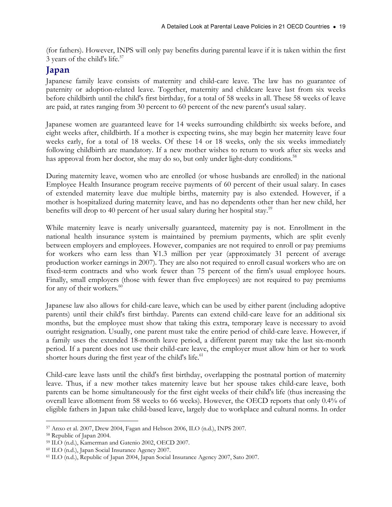(for fathers). However, INPS will only pay benefits during parental leave if it is taken within the first 3 years of the child's life. $57$ 

# Japan

Japanese family leave consists of maternity and child-care leave. The law has no guarantee of paternity or adoption-related leave. Together, maternity and childcare leave last from six weeks before childbirth until the child's first birthday, for a total of 58 weeks in all. These 58 weeks of leave are paid, at rates ranging from 30 percent to 60 percent of the new parent's usual salary.

Japanese women are guaranteed leave for 14 weeks surrounding childbirth: six weeks before, and eight weeks after, childbirth. If a mother is expecting twins, she may begin her maternity leave four weeks early, for a total of 18 weeks. Of these 14 or 18 weeks, only the six weeks immediately following childbirth are mandatory. If a new mother wishes to return to work after six weeks and has approval from her doctor, she may do so, but only under light-duty conditions.<sup>58</sup>

During maternity leave, women who are enrolled (or whose husbands are enrolled) in the national Employee Health Insurance program receive payments of 60 percent of their usual salary. In cases of extended maternity leave due multiple births, maternity pay is also extended. However, if a mother is hospitalized during maternity leave, and has no dependents other than her new child, her benefits will drop to 40 percent of her usual salary during her hospital stay.<sup>59</sup>

While maternity leave is nearly universally guaranteed, maternity pay is not. Enrollment in the national health insurance system is maintained by premium payments, which are split evenly between employers and employees. However, companies are not required to enroll or pay premiums for workers who earn less than ¥1.3 million per year (approximately 31 percent of average production worker earnings in 2007). They are also not required to enroll casual workers who are on fixed-term contracts and who work fewer than 75 percent of the firm's usual employee hours. Finally, small employers (those with fewer than five employees) are not required to pay premiums for any of their workers.<sup>60</sup>

Japanese law also allows for child-care leave, which can be used by either parent (including adoptive parents) until their child's first birthday. Parents can extend child-care leave for an additional six months, but the employee must show that taking this extra, temporary leave is necessary to avoid outright resignation. Usually, one parent must take the entire period of child-care leave. However, if a family uses the extended 18-month leave period, a different parent may take the last six-month period. If a parent does not use their child-care leave, the employer must allow him or her to work shorter hours during the first year of the child's life.<sup>61</sup>

Child-care leave lasts until the child's first birthday, overlapping the postnatal portion of maternity leave. Thus, if a new mother takes maternity leave but her spouse takes child-care leave, both parents can be home simultaneously for the first eight weeks of their child's life (thus increasing the overall leave allotment from 58 weeks to 66 weeks). However, the OECD reports that only 0.4% of eligible fathers in Japan take child-based leave, largely due to workplace and cultural norms. In order

 $\overline{a}$ <sup>57</sup> Anxo et al. 2007, Drew 2004, Fagan and Hebson 2006, ILO (n.d.), INPS 2007.

<sup>58</sup> Republic of Japan 2004.

<sup>59</sup> ILO (n.d.), Kamerman and Gatenio 2002, OECD 2007.

<sup>60</sup> ILO (n.d.), Japan Social Insurance Agency 2007.

<sup>61</sup> ILO (n.d.), Republic of Japan 2004, Japan Social Insurance Agency 2007, Sato 2007.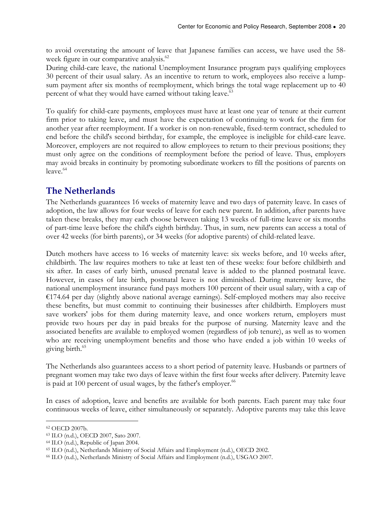to avoid overstating the amount of leave that Japanese families can access, we have used the 58 week figure in our comparative analysis.<sup>62</sup>

During child-care leave, the national Unemployment Insurance program pays qualifying employees 30 percent of their usual salary. As an incentive to return to work, employees also receive a lumpsum payment after six months of reemployment, which brings the total wage replacement up to 40 percent of what they would have earned without taking leave.<sup>63</sup>

To qualify for child-care payments, employees must have at least one year of tenure at their current firm prior to taking leave, and must have the expectation of continuing to work for the firm for another year after reemployment. If a worker is on non-renewable, fixed-term contract, scheduled to end before the child's second birthday, for example, the employee is ineligible for child-care leave. Moreover, employers are not required to allow employees to return to their previous positions; they must only agree on the conditions of reemployment before the period of leave. Thus, employers may avoid breaks in continuity by promoting subordinate workers to fill the positions of parents on  $leave<sup>64</sup>$ 

# The Netherlands

The Netherlands guarantees 16 weeks of maternity leave and two days of paternity leave. In cases of adoption, the law allows for four weeks of leave for each new parent. In addition, after parents have taken these breaks, they may each choose between taking 13 weeks of full-time leave or six months of part-time leave before the child's eighth birthday. Thus, in sum, new parents can access a total of over 42 weeks (for birth parents), or 34 weeks (for adoptive parents) of child-related leave.

Dutch mothers have access to 16 weeks of maternity leave: six weeks before, and 10 weeks after, childbirth. The law requires mothers to take at least ten of these weeks: four before childbirth and six after. In cases of early birth, unused prenatal leave is added to the planned postnatal leave. However, in cases of late birth, postnatal leave is not diminished. During maternity leave, the national unemployment insurance fund pays mothers 100 percent of their usual salary, with a cap of €174.64 per day (slightly above national average earnings). Self-employed mothers may also receive these benefits, but must commit to continuing their businesses after childbirth. Employers must save workers' jobs for them during maternity leave, and once workers return, employers must provide two hours per day in paid breaks for the purpose of nursing. Maternity leave and the associated benefits are available to employed women (regardless of job tenure), as well as to women who are receiving unemployment benefits and those who have ended a job within 10 weeks of giving birth.<sup>65</sup>

The Netherlands also guarantees access to a short period of paternity leave. Husbands or partners of pregnant women may take two days of leave within the first four weeks after delivery. Paternity leave is paid at 100 percent of usual wages, by the father's employer. $66$ 

In cases of adoption, leave and benefits are available for both parents. Each parent may take four continuous weeks of leave, either simultaneously or separately. Adoptive parents may take this leave

 $\overline{a}$ <sup>62</sup> OECD 2007b.

<sup>63</sup> ILO (n.d.), OECD 2007, Sato 2007.

<sup>64</sup> ILO (n.d.), Republic of Japan 2004.

<sup>65</sup> ILO (n.d.), Netherlands Ministry of Social Affairs and Employment (n.d.), OECD 2002.

<sup>66</sup> ILO (n.d.), Netherlands Ministry of Social Affairs and Employment (n.d.), USGAO 2007.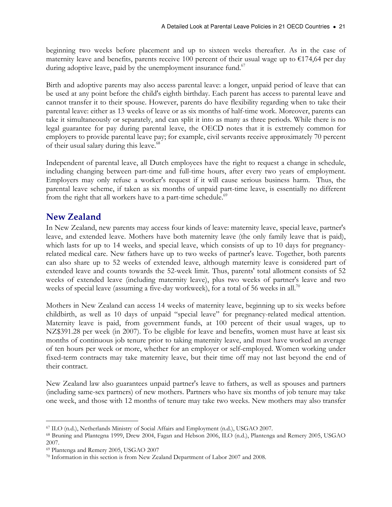beginning two weeks before placement and up to sixteen weeks thereafter. As in the case of maternity leave and benefits, parents receive 100 percent of their usual wage up to  $\epsilon$ 174,64 per day during adoptive leave, paid by the unemployment insurance fund.<sup>67</sup>

Birth and adoptive parents may also access parental leave: a longer, unpaid period of leave that can be used at any point before the child's eighth birthday. Each parent has access to parental leave and cannot transfer it to their spouse. However, parents do have flexibility regarding when to take their parental leave: either as 13 weeks of leave or as six months of half-time work. Moreover, parents can take it simultaneously or separately, and can split it into as many as three periods. While there is no legal guarantee for pay during parental leave, the OECD notes that it is extremely common for employers to provide parental leave pay; for example, civil servants receive approximately 70 percent of their usual salary during this leave.<sup>68</sup>

Independent of parental leave, all Dutch employees have the right to request a change in schedule, including changing between part-time and full-time hours, after every two years of employment. Employers may only refuse a worker's request if it will cause serious business harm. Thus, the parental leave scheme, if taken as six months of unpaid part-time leave, is essentially no different from the right that all workers have to a part-time schedule.<sup>69</sup>

# New Zealand

In New Zealand, new parents may access four kinds of leave: maternity leave, special leave, partner's leave, and extended leave. Mothers have both maternity leave (the only family leave that is paid), which lasts for up to 14 weeks, and special leave, which consists of up to 10 days for pregnancyrelated medical care. New fathers have up to two weeks of partner's leave. Together, both parents can also share up to 52 weeks of extended leave, although maternity leave is considered part of extended leave and counts towards the 52-week limit. Thus, parents' total allotment consists of 52 weeks of extended leave (including maternity leave), plus two weeks of partner's leave and two weeks of special leave (assuming a five-day workweek), for a total of 56 weeks in all.<sup>70</sup>

Mothers in New Zealand can access 14 weeks of maternity leave, beginning up to six weeks before childbirth, as well as 10 days of unpaid "special leave" for pregnancy-related medical attention. Maternity leave is paid, from government funds, at 100 percent of their usual wages, up to NZ\$391.28 per week (in 2007). To be eligible for leave and benefits, women must have at least six months of continuous job tenure prior to taking maternity leave, and must have worked an average of ten hours per week or more, whether for an employer or self-employed. Women working under fixed-term contracts may take maternity leave, but their time off may not last beyond the end of their contract.

New Zealand law also guarantees unpaid partner's leave to fathers, as well as spouses and partners (including same-sex partners) of new mothers. Partners who have six months of job tenure may take one week, and those with 12 months of tenure may take two weeks. New mothers may also transfer

 $\overline{a}$ <sup>67</sup> ILO (n.d.), Netherlands Ministry of Social Affairs and Employment (n.d.), USGAO 2007.

<sup>68</sup> Bruning and Plantegna 1999, Drew 2004, Fagan and Hebson 2006, ILO (n.d.), Plantenga and Remery 2005, USGAO 2007.

<sup>69</sup> Plantenga and Remery 2005, USGAO 2007

<sup>70</sup> Information in this section is from New Zealand Department of Labor 2007 and 2008.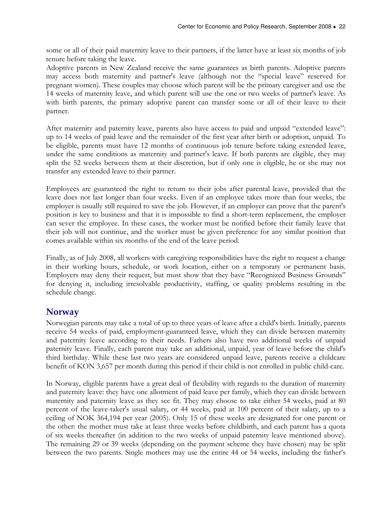some or all of their paid maternity leave to their partners, if the latter have at least six months of job tenure before taking the leave.

Adoptive parents in New Zealand receive the same guarantees as birth parents. Adoptive parents may access both maternity and partner's leave (although not the "special leave" reserved for pregnant women). These couples may choose which parent will be the primary caregiver and use the 14 weeks of maternity leave, and which parent will use the one or two weeks of partner's leave. As with birth parents, the primary adoptive parent can transfer some or all of their leave to their partner.

After maternity and paternity leave, parents also have access to paid and unpaid "extended leave": up to 14 weeks of paid leave and the remainder of the first year after birth or adoption, unpaid. To be eligible, parents must have 12 months of continuous job tenure before taking extended leave, under the same conditions as maternity and partner's leave. If both parents are eligible, they may split the 52 weeks between them at their discretion, but if only one is eligible, he or she may not transfer any extended leave to their partner.

Employees are guaranteed the right to return to their jobs after parental leave, provided that the leave does not last longer than four weeks. Even if an employee takes more than four weeks, the employer is usually still required to save the job. However, if an employer can prove that the parent's position is key to business and that it is impossible to find a short-term replacement, the employer can sever the employee. In these cases, the worker must be notified before their family leave that their job will not continue, and the worker must be given preference for any similar position that comes available within six months of the end of the leave period.

Finally, as of July 2008, all workers with caregiving responsibilities have the right to request a change in their working hours, schedule, or work location, either on a temporary or permanent basis. Employers may deny their request, but must show that they have "Recognized Business Grounds" for denying it, including irresolvable productivity, staffing, or quality problems resulting in the schedule change.

# **Norway**

Norwegian parents may take a total of up to three years of leave after a child's birth. Initially, parents receive 54 weeks of paid, employment-guaranteed leave, which they can divide between maternity and paternity leave according to their needs. Fathers also have two additional weeks of unpaid paternity leave. Finally, each parent may take an additional, unpaid, year of leave before the child's third birthday. While these last two years are considered unpaid leave, parents receive a childcare benefit of KON 3,657 per month during this period if their child is not enrolled in public child-care.

In Norway, eligible parents have a great deal of flexibility with regards to the duration of maternity and paternity leave: they have one allotment of paid leave per family, which they can divide between maternity and paternity leave as they see fit. They may choose to take either 54 weeks, paid at 80 percent of the leave-taker's usual salary, or 44 weeks, paid at 100 percent of their salary, up to a ceiling of NOK 364,194 per year (2005). Only 15 of these weeks are designated for one parent or the other: the mother must take at least three weeks before childbirth, and each parent has a quota of six weeks thereafter (in addition to the two weeks of unpaid paternity leave mentioned above). The remaining 29 or 39 weeks (depending on the payment scheme they have chosen) may be split between the two parents. Single mothers may use the entire 44 or 54 weeks, including the father's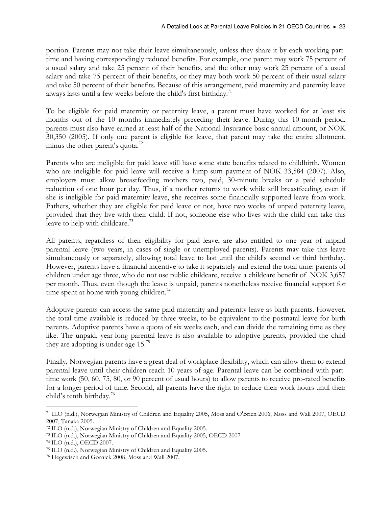portion. Parents may not take their leave simultaneously, unless they share it by each working parttime and having correspondingly reduced benefits. For example, one parent may work 75 percent of a usual salary and take 25 percent of their benefits, and the other may work 25 percent of a usual salary and take 75 percent of their benefits, or they may both work 50 percent of their usual salary and take 50 percent of their benefits. Because of this arrangement, paid maternity and paternity leave always lasts until a few weeks before the child's first birthday.<sup>71</sup>

To be eligible for paid maternity or paternity leave, a parent must have worked for at least six months out of the 10 months immediately preceding their leave. During this 10-month period, parents must also have earned at least half of the National Insurance basic annual amount, or NOK 30,350 (2005). If only one parent is eligible for leave, that parent may take the entire allotment, minus the other parent's quota. $^{72}$ 

Parents who are ineligible for paid leave still have some state benefits related to childbirth. Women who are ineligible for paid leave will receive a lump-sum payment of NOK 33,584 (2007). Also, employers must allow breastfeeding mothers two, paid, 30-minute breaks or a paid schedule reduction of one hour per day. Thus, if a mother returns to work while still breastfeeding, even if she is ineligible for paid maternity leave, she receives some financially-supported leave from work. Fathers, whether they are eligible for paid leave or not, have two weeks of unpaid paternity leave, provided that they live with their child. If not, someone else who lives with the child can take this leave to help with childcare.<sup>73</sup>

All parents, regardless of their eligibility for paid leave, are also entitled to one year of unpaid parental leave (two years, in cases of single or unemployed parents). Parents may take this leave simultaneously or separately, allowing total leave to last until the child's second or third birthday. However, parents have a financial incentive to take it separately and extend the total time: parents of children under age three, who do not use public childcare, receive a childcare benefit of NOK 3,657 per month. Thus, even though the leave is unpaid, parents nonetheless receive financial support for time spent at home with young children.<sup>74</sup>

Adoptive parents can access the same paid maternity and paternity leave as birth parents. However, the total time available is reduced by three weeks, to be equivalent to the postnatal leave for birth parents. Adoptive parents have a quota of six weeks each, and can divide the remaining time as they like. The unpaid, year-long parental leave is also available to adoptive parents, provided the child they are adopting is under age  $15.^{75}$ 

Finally, Norwegian parents have a great deal of workplace flexibility, which can allow them to extend parental leave until their children reach 10 years of age. Parental leave can be combined with parttime work (50, 60, 75, 80, or 90 percent of usual hours) to allow parents to receive pro-rated benefits for a longer period of time. Second, all parents have the right to reduce their work hours until their child's tenth birthday.<sup>76</sup>

 $\overline{a}$ <sup>71</sup> ILO (n.d.), Norwegian Ministry of Children and Equality 2005, Moss and O'Brien 2006, Moss and Wall 2007, OECD 2007, Tanaka 2005.

<sup>72</sup> ILO (n.d.), Norwegian Ministry of Children and Equality 2005.

<sup>73</sup> ILO (n.d.), Norwegian Ministry of Children and Equality 2005, OECD 2007.

<sup>74</sup> ILO (n.d.), OECD 2007.

<sup>75</sup> ILO (n.d.), Norwegian Ministry of Children and Equality 2005.

<sup>76</sup> Hegewisch and Gornick 2008, Moss and Wall 2007.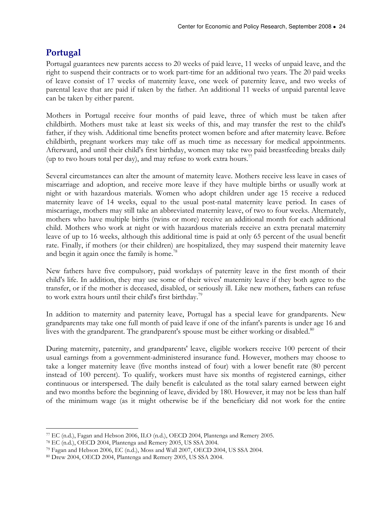# Portugal

Portugal guarantees new parents access to 20 weeks of paid leave, 11 weeks of unpaid leave, and the right to suspend their contracts or to work part-time for an additional two years. The 20 paid weeks of leave consist of 17 weeks of maternity leave, one week of paternity leave, and two weeks of parental leave that are paid if taken by the father. An additional 11 weeks of unpaid parental leave can be taken by either parent.

Mothers in Portugal receive four months of paid leave, three of which must be taken after childbirth. Mothers must take at least six weeks of this, and may transfer the rest to the child's father, if they wish. Additional time benefits protect women before and after maternity leave. Before childbirth, pregnant workers may take off as much time as necessary for medical appointments. Afterward, and until their child's first birthday, women may take two paid breastfeeding breaks daily (up to two hours total per day), and may refuse to work extra hours.<sup>77</sup>

Several circumstances can alter the amount of maternity leave. Mothers receive less leave in cases of miscarriage and adoption, and receive more leave if they have multiple births or usually work at night or with hazardous materials. Women who adopt children under age 15 receive a reduced maternity leave of 14 weeks, equal to the usual post-natal maternity leave period. In cases of miscarriage, mothers may still take an abbreviated maternity leave, of two to four weeks. Alternately, mothers who have multiple births (twins or more) receive an additional month for each additional child. Mothers who work at night or with hazardous materials receive an extra prenatal maternity leave of up to 16 weeks, although this additional time is paid at only 65 percent of the usual benefit rate. Finally, if mothers (or their children) are hospitalized, they may suspend their maternity leave and begin it again once the family is home.<sup>78</sup>

New fathers have five compulsory, paid workdays of paternity leave in the first month of their child's life. In addition, they may use some of their wives' maternity leave if they both agree to the transfer, or if the mother is deceased, disabled, or seriously ill. Like new mothers, fathers can refuse to work extra hours until their child's first birthday.<sup>79</sup>

In addition to maternity and paternity leave, Portugal has a special leave for grandparents. New grandparents may take one full month of paid leave if one of the infant's parents is under age 16 and lives with the grandparent. The grandparent's spouse must be either working or disabled.<sup>80</sup>

During maternity, paternity, and grandparents' leave, eligible workers receive 100 percent of their usual earnings from a government-administered insurance fund. However, mothers may choose to take a longer maternity leave (five months instead of four) with a lower benefit rate (80 percent instead of 100 percent). To qualify, workers must have six months of registered earnings, either continuous or interspersed. The daily benefit is calculated as the total salary earned between eight and two months before the beginning of leave, divided by 180. However, it may not be less than half of the minimum wage (as it might otherwise be if the beneficiary did not work for the entire

 $\overline{a}$ <sup>77</sup> EC (n.d.), Fagan and Hebson 2006, ILO (n.d.), OECD 2004, Plantenga and Remery 2005.

<sup>78</sup> EC (n.d.), OECD 2004, Plantenga and Remery 2005, US SSA 2004.

<sup>79</sup> Fagan and Hebson 2006, EC (n.d.), Moss and Wall 2007, OECD 2004, US SSA 2004.

<sup>80</sup> Drew 2004, OECD 2004, Plantenga and Remery 2005, US SSA 2004.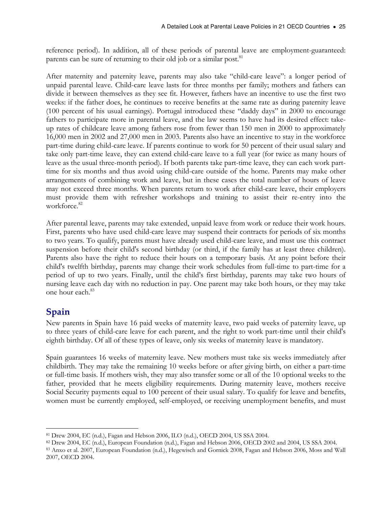reference period). In addition, all of these periods of parental leave are employment-guaranteed: parents can be sure of returning to their old job or a similar post.<sup>81</sup>

After maternity and paternity leave, parents may also take "child-care leave": a longer period of unpaid parental leave. Child-care leave lasts for three months per family; mothers and fathers can divide it between themselves as they see fit. However, fathers have an incentive to use the first two weeks: if the father does, he continues to receive benefits at the same rate as during paternity leave (100 percent of his usual earnings). Portugal introduced these "daddy days" in 2000 to encourage fathers to participate more in parental leave, and the law seems to have had its desired effect: takeup rates of childcare leave among fathers rose from fewer than 150 men in 2000 to approximately 16,000 men in 2002 and 27,000 men in 2003. Parents also have an incentive to stay in the workforce part-time during child-care leave. If parents continue to work for 50 percent of their usual salary and take only part-time leave, they can extend child-care leave to a full year (for twice as many hours of leave as the usual three-month period). If both parents take part-time leave, they can each work parttime for six months and thus avoid using child-care outside of the home. Parents may make other arrangements of combining work and leave, but in these cases the total number of hours of leave may not exceed three months. When parents return to work after child-care leave, their employers must provide them with refresher workshops and training to assist their re-entry into the workforce.<sup>82</sup>

After parental leave, parents may take extended, unpaid leave from work or reduce their work hours. First, parents who have used child-care leave may suspend their contracts for periods of six months to two years. To qualify, parents must have already used child-care leave, and must use this contract suspension before their child's second birthday (or third, if the family has at least three children). Parents also have the right to reduce their hours on a temporary basis. At any point before their child's twelfth birthday, parents may change their work schedules from full-time to part-time for a period of up to two years. Finally, until the child's first birthday, parents may take two hours of nursing leave each day with no reduction in pay. One parent may take both hours, or they may take one hour each.<sup>83</sup>

# Spain

New parents in Spain have 16 paid weeks of maternity leave, two paid weeks of paternity leave, up to three years of child-care leave for each parent, and the right to work part-time until their child's eighth birthday. Of all of these types of leave, only six weeks of maternity leave is mandatory.

Spain guarantees 16 weeks of maternity leave. New mothers must take six weeks immediately after childbirth. They may take the remaining 10 weeks before or after giving birth, on either a part-time or full-time basis. If mothers wish, they may also transfer some or all of the 10 optional weeks to the father, provided that he meets eligibility requirements. During maternity leave, mothers receive Social Security payments equal to 100 percent of their usual salary. To qualify for leave and benefits, women must be currently employed, self-employed, or receiving unemployment benefits, and must

 $\overline{a}$ <sup>81</sup> Drew 2004, EC (n.d.), Fagan and Hebson 2006, ILO (n.d.), OECD 2004, US SSA 2004.

<sup>82</sup> Drew 2004, EC (n.d.), European Foundation (n.d.), Fagan and Hebson 2006, OECD 2002 and 2004, US SSA 2004.

<sup>83</sup> Anxo et al. 2007, European Foundation (n.d.), Hegewisch and Gornick 2008, Fagan and Hebson 2006, Moss and Wall 2007, OECD 2004.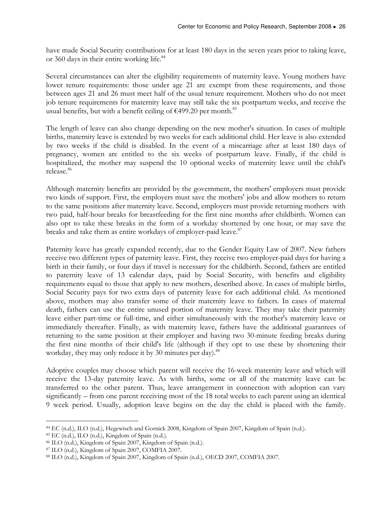have made Social Security contributions for at least 180 days in the seven years prior to taking leave, or 360 days in their entire working life.<sup>84</sup>

Several circumstances can alter the eligibility requirements of maternity leave. Young mothers have lower tenure requirements: those under age 21 are exempt from these requirements, and those between ages 21 and 26 must meet half of the usual tenure requirement. Mothers who do not meet job tenure requirements for maternity leave may still take the six postpartum weeks, and receive the usual benefits, but with a benefit ceiling of  $€499.20$  per month.<sup>85</sup>

The length of leave can also change depending on the new mother's situation. In cases of multiple births, maternity leave is extended by two weeks for each additional child. Her leave is also extended by two weeks if the child is disabled. In the event of a miscarriage after at least 180 days of pregnancy, women are entitled to the six weeks of postpartum leave. Finally, if the child is hospitalized, the mother may suspend the 10 optional weeks of maternity leave until the child's release.<sup>86</sup>

Although maternity benefits are provided by the government, the mothers' employers must provide two kinds of support. First, the employers must save the mothers' jobs and allow mothers to return to the same positions after maternity leave. Second, employers must provide returning mothers with two paid, half-hour breaks for breastfeeding for the first nine months after childbirth. Women can also opt to take these breaks in the form of a workday shortened by one hour, or may save the breaks and take them as entire workdays of employer-paid leave.<sup>87</sup>

Paternity leave has greatly expanded recently, due to the Gender Equity Law of 2007. New fathers receive two different types of paternity leave. First, they receive two employer-paid days for having a birth in their family, or four days if travel is necessary for the childbirth. Second, fathers are entitled to paternity leave of 13 calendar days, paid by Social Security, with benefits and eligibility requirements equal to those that apply to new mothers, described above. In cases of multiple births, Social Security pays for two extra days of paternity leave for each additional child. As mentioned above, mothers may also transfer some of their maternity leave to fathers. In cases of maternal death, fathers can use the entire unused portion of maternity leave. They may take their paternity leave either part-time or full-time, and either simultaneously with the mother's maternity leave or immediately thereafter. Finally, as with maternity leave, fathers have the additional guarantees of returning to the same position at their employer and having two 30-minute feeding breaks during the first nine months of their child's life (although if they opt to use these by shortening their workday, they may only reduce it by 30 minutes per day).<sup>88</sup>

Adoptive couples may choose which parent will receive the 16-week maternity leave and which will receive the 13-day paternity leave. As with births, some or all of the maternity leave can be transferred to the other parent. Thus, leave arrangement in connection with adoption can vary significantly – from one parent receiving most of the 18 total weeks to each parent using an identical 9 week period. Usually, adoption leave begins on the day the child is placed with the family.

 $\overline{a}$ <sup>84</sup> EC (n.d.), ILO (n.d.), Hegewisch and Gornick 2008, Kingdom of Spain 2007, Kingdom of Spain (n.d.).

<sup>85</sup> EC (n.d.), ILO (n.d.), Kingdom of Spain (n.d.).

<sup>86</sup> ILO (n.d.), Kingdom of Spain 2007, Kingdom of Spain (n.d.).

<sup>87</sup> ILO (n.d.), Kingdom of Spain 2007, COMFIA 2007.

<sup>88</sup> ILO (n.d.), Kingdom of Spain 2007, Kingdom of Spain (n.d.), OECD 2007, COMFIA 2007.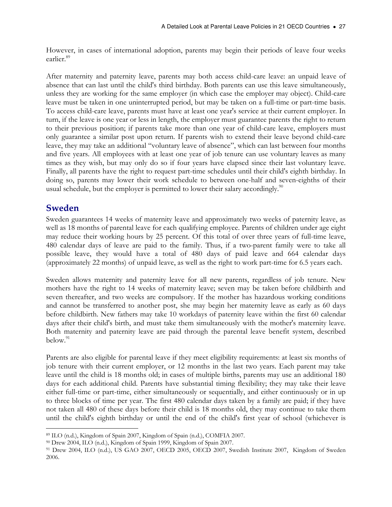However, in cases of international adoption, parents may begin their periods of leave four weeks earlier.<sup>89</sup>

After maternity and paternity leave, parents may both access child-care leave: an unpaid leave of absence that can last until the child's third birthday. Both parents can use this leave simultaneously, unless they are working for the same employer (in which case the employer may object). Child-care leave must be taken in one uninterrupted period, but may be taken on a full-time or part-time basis. To access child-care leave, parents must have at least one year's service at their current employer. In turn, if the leave is one year or less in length, the employer must guarantee parents the right to return to their previous position; if parents take more than one year of child-care leave, employers must only guarantee a similar post upon return. If parents wish to extend their leave beyond child-care leave, they may take an additional "voluntary leave of absence", which can last between four months and five years. All employees with at least one year of job tenure can use voluntary leaves as many times as they wish, but may only do so if four years have elapsed since their last voluntary leave. Finally, all parents have the right to request part-time schedules until their child's eighth birthday. In doing so, parents may lower their work schedule to between one-half and seven-eighths of their usual schedule, but the employer is permitted to lower their salary accordingly. $90$ 

### Sweden

Sweden guarantees 14 weeks of maternity leave and approximately two weeks of paternity leave, as well as 18 months of parental leave for each qualifying employee. Parents of children under age eight may reduce their working hours by 25 percent. Of this total of over three years of full-time leave, 480 calendar days of leave are paid to the family. Thus, if a two-parent family were to take all possible leave, they would have a total of 480 days of paid leave and 664 calendar days (approximately 22 months) of unpaid leave, as well as the right to work part-time for 6.5 years each.

Sweden allows maternity and paternity leave for all new parents, regardless of job tenure. New mothers have the right to 14 weeks of maternity leave; seven may be taken before childbirth and seven thereafter, and two weeks are compulsory. If the mother has hazardous working conditions and cannot be transferred to another post, she may begin her maternity leave as early as 60 days before childbirth. New fathers may take 10 workdays of paternity leave within the first 60 calendar days after their child's birth, and must take them simultaneously with the mother's maternity leave. Both maternity and paternity leave are paid through the parental leave benefit system, described below. $91$ 

Parents are also eligible for parental leave if they meet eligibility requirements: at least six months of job tenure with their current employer, or 12 months in the last two years. Each parent may take leave until the child is 18 months old; in cases of multiple births, parents may use an additional 180 days for each additional child. Parents have substantial timing flexibility; they may take their leave either full-time or part-time, either simultaneously or sequentially, and either continuously or in up to three blocks of time per year. The first 480 calendar days taken by a family are paid; if they have not taken all 480 of these days before their child is 18 months old, they may continue to take them until the child's eighth birthday or until the end of the child's first year of school (whichever is

 $\overline{a}$ <sup>89</sup> ILO (n.d.), Kingdom of Spain 2007, Kingdom of Spain (n.d.), COMFIA 2007.

<sup>90</sup> Drew 2004, ILO (n.d.), Kingdom of Spain 1999, Kingdom of Spain 2007.

<sup>91</sup> Drew 2004, ILO (n.d.), US GAO 2007, OECD 2005, OECD 2007, Swedish Institute 2007, Kingdom of Sweden 2006.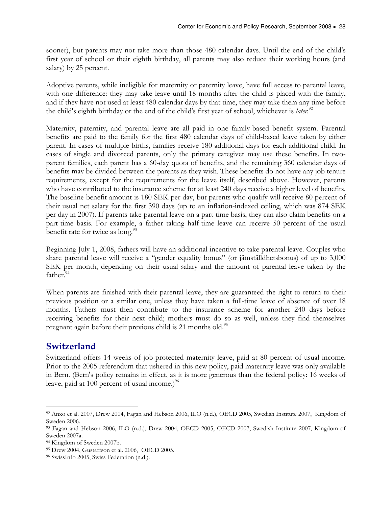sooner), but parents may not take more than those 480 calendar days. Until the end of the child's first year of school or their eighth birthday, all parents may also reduce their working hours (and salary) by 25 percent.

Adoptive parents, while ineligible for maternity or paternity leave, have full access to parental leave, with one difference: they may take leave until 18 months after the child is placed with the family, and if they have not used at least 480 calendar days by that time, they may take them any time before the child's eighth birthday or the end of the child's first year of school, whichever is later.<sup>92</sup>

Maternity, paternity, and parental leave are all paid in one family-based benefit system. Parental benefits are paid to the family for the first 480 calendar days of child-based leave taken by either parent. In cases of multiple births, families receive 180 additional days for each additional child. In cases of single and divorced parents, only the primary caregiver may use these benefits. In twoparent families, each parent has a 60-day quota of benefits, and the remaining 360 calendar days of benefits may be divided between the parents as they wish. These benefits do not have any job tenure requirements, except for the requirements for the leave itself, described above. However, parents who have contributed to the insurance scheme for at least 240 days receive a higher level of benefits. The baseline benefit amount is 180 SEK per day, but parents who qualify will receive 80 percent of their usual net salary for the first 390 days (up to an inflation-indexed ceiling, which was 874 SEK per day in 2007). If parents take parental leave on a part-time basis, they can also claim benefits on a part-time basis. For example, a father taking half-time leave can receive 50 percent of the usual benefit rate for twice as long.<sup>93</sup>

Beginning July 1, 2008, fathers will have an additional incentive to take parental leave. Couples who share parental leave will receive a "gender equality bonus" (or jämställdhetsbonus) of up to 3,000 SEK per month, depending on their usual salary and the amount of parental leave taken by the father.<sup>94</sup>

When parents are finished with their parental leave, they are guaranteed the right to return to their previous position or a similar one, unless they have taken a full-time leave of absence of over 18 months. Fathers must then contribute to the insurance scheme for another 240 days before receiving benefits for their next child; mothers must do so as well, unless they find themselves pregnant again before their previous child is 21 months old.<sup>95</sup>

# Switzerland

Switzerland offers 14 weeks of job-protected maternity leave, paid at 80 percent of usual income. Prior to the 2005 referendum that ushered in this new policy, paid maternity leave was only available in Bern. (Bern's policy remains in effect, as it is more generous than the federal policy: 16 weeks of leave, paid at 100 percent of usual income.) $96$ 

 $\overline{a}$ <sup>92</sup> Anxo et al. 2007, Drew 2004, Fagan and Hebson 2006, ILO (n.d.), OECD 2005, Swedish Institute 2007, Kingdom of Sweden 2006.

<sup>93</sup> Fagan and Hebson 2006, ILO (n.d.), Drew 2004, OECD 2005, OECD 2007, Swedish Institute 2007, Kingdom of Sweden 2007a.

<sup>94</sup> Kingdom of Sweden 2007b.

<sup>95</sup> Drew 2004, Gustaffson et al. 2006, OECD 2005.

<sup>96</sup> SwissInfo 2005, Swiss Federation (n.d.).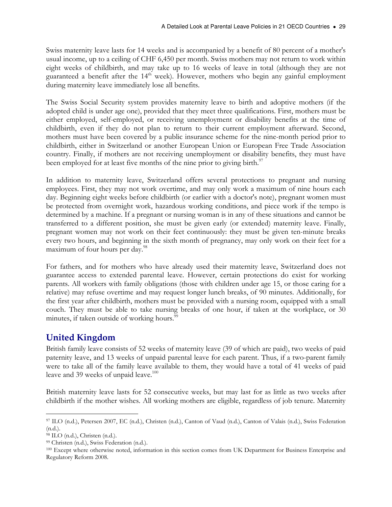Swiss maternity leave lasts for 14 weeks and is accompanied by a benefit of 80 percent of a mother's usual income, up to a ceiling of CHF 6,450 per month. Swiss mothers may not return to work within eight weeks of childbirth, and may take up to 16 weeks of leave in total (although they are not guaranteed a benefit after the 14<sup>th</sup> week). However, mothers who begin any gainful employment during maternity leave immediately lose all benefits.

The Swiss Social Security system provides maternity leave to birth and adoptive mothers (if the adopted child is under age one), provided that they meet three qualifications. First, mothers must be either employed, self-employed, or receiving unemployment or disability benefits at the time of childbirth, even if they do not plan to return to their current employment afterward. Second, mothers must have been covered by a public insurance scheme for the nine-month period prior to childbirth, either in Switzerland or another European Union or European Free Trade Association country. Finally, if mothers are not receiving unemployment or disability benefits, they must have been employed for at least five months of the nine prior to giving birth.<sup>97</sup>

In addition to maternity leave, Switzerland offers several protections to pregnant and nursing employees. First, they may not work overtime, and may only work a maximum of nine hours each day. Beginning eight weeks before childbirth (or earlier with a doctor's note), pregnant women must be protected from overnight work, hazardous working conditions, and piece work if the tempo is determined by a machine. If a pregnant or nursing woman is in any of these situations and cannot be transferred to a different position, she must be given early (or extended) maternity leave. Finally, pregnant women may not work on their feet continuously: they must be given ten-minute breaks every two hours, and beginning in the sixth month of pregnancy, may only work on their feet for a maximum of four hours per day.<sup>98</sup>

For fathers, and for mothers who have already used their maternity leave, Switzerland does not guarantee access to extended parental leave. However, certain protections do exist for working parents. All workers with family obligations (those with children under age 15, or those caring for a relative) may refuse overtime and may request longer lunch breaks, of 90 minutes. Additionally, for the first year after childbirth, mothers must be provided with a nursing room, equipped with a small couch. They must be able to take nursing breaks of one hour, if taken at the workplace, or 30 minutes, if taken outside of working hours.<sup>99</sup>

# United Kingdom

British family leave consists of 52 weeks of maternity leave (39 of which are paid), two weeks of paid paternity leave, and 13 weeks of unpaid parental leave for each parent. Thus, if a two-parent family were to take all of the family leave available to them, they would have a total of 41 weeks of paid leave and 39 weeks of unpaid leave. $100$ 

British maternity leave lasts for 52 consecutive weeks, but may last for as little as two weeks after childbirth if the mother wishes. All working mothers are eligible, regardless of job tenure. Maternity

 $\overline{a}$ <sup>97</sup> ILO (n.d.), Petersen 2007, EC (n.d.), Christen (n.d.), Canton of Vaud (n.d.), Canton of Valais (n.d.), Swiss Federation (n.d.).

<sup>98</sup> ILO (n.d.), Christen (n.d.).

<sup>99</sup> Christen (n.d.), Swiss Federation (n.d.).

<sup>100</sup> Except where otherwise noted, information in this section comes from UK Department for Business Enterprise and Regulatory Reform 2008.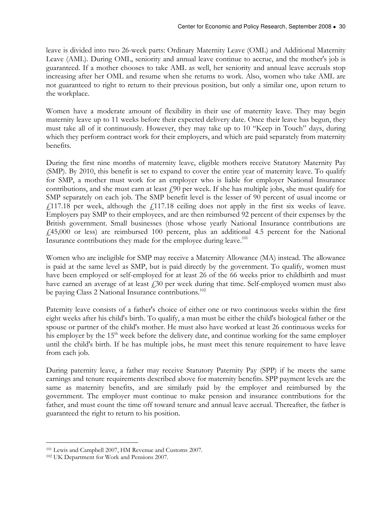leave is divided into two 26-week parts: Ordinary Maternity Leave (OML) and Additional Maternity Leave (AML). During OML, seniority and annual leave continue to accrue, and the mother's job is guaranteed. If a mother chooses to take AML as well, her seniority and annual leave accruals stop increasing after her OML and resume when she returns to work. Also, women who take AML are not guaranteed to right to return to their previous position, but only a similar one, upon return to the workplace.

Women have a moderate amount of flexibility in their use of maternity leave. They may begin maternity leave up to 11 weeks before their expected delivery date. Once their leave has begun, they must take all of it continuously. However, they may take up to 10 "Keep in Touch" days, during which they perform contract work for their employers, and which are paid separately from maternity benefits.

During the first nine months of maternity leave, eligible mothers receive Statutory Maternity Pay (SMP). By 2010, this benefit is set to expand to cover the entire year of maternity leave. To qualify for SMP, a mother must work for an employer who is liable for employer National Insurance contributions, and she must earn at least  $f(90)$  per week. If she has multiple jobs, she must qualify for SMP separately on each job. The SMP benefit level is the lesser of 90 percent of usual income or  $£117.18$  per week, although the  $£117.18$  ceiling does not apply in the first six weeks of leave. Employers pay SMP to their employees, and are then reimbursed 92 percent of their expenses by the British government. Small businesses (those whose yearly National Insurance contributions are £45,000 or less) are reimbursed 100 percent, plus an additional 4.5 percent for the National Insurance contributions they made for the employee during leave.<sup>101</sup>

Women who are ineligible for SMP may receive a Maternity Allowance (MA) instead. The allowance is paid at the same level as SMP, but is paid directly by the government. To qualify, women must have been employed or self-employed for at least 26 of the 66 weeks prior to childbirth and must have earned an average of at least  $\ell$ 30 per week during that time. Self-employed women must also be paying Class 2 National Insurance contributions.<sup>102</sup>

Paternity leave consists of a father's choice of either one or two continuous weeks within the first eight weeks after his child's birth. To qualify, a man must be either the child's biological father or the spouse or partner of the child's mother. He must also have worked at least 26 continuous weeks for his employer by the  $15<sup>th</sup>$  week before the delivery date, and continue working for the same employer until the child's birth. If he has multiple jobs, he must meet this tenure requirement to have leave from each job.

During paternity leave, a father may receive Statutory Paternity Pay (SPP) if he meets the same earnings and tenure requirements described above for maternity benefits. SPP payment levels are the same as maternity benefits, and are similarly paid by the employer and reimbursed by the government. The employer must continue to make pension and insurance contributions for the father, and must count the time off toward tenure and annual leave accrual. Thereafter, the father is guaranteed the right to return to his position.

 $\overline{a}$ <sup>101</sup> Lewis and Campbell 2007, HM Revenue and Customs 2007.

<sup>102</sup> UK Department for Work and Pensions 2007.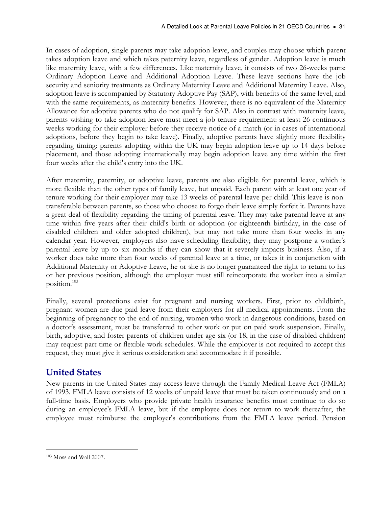In cases of adoption, single parents may take adoption leave, and couples may choose which parent takes adoption leave and which takes paternity leave, regardless of gender. Adoption leave is much like maternity leave, with a few differences. Like maternity leave, it consists of two 26-weeks parts: Ordinary Adoption Leave and Additional Adoption Leave. These leave sections have the job security and seniority treatments as Ordinary Maternity Leave and Additional Maternity Leave. Also, adoption leave is accompanied by Statutory Adoptive Pay (SAP), with benefits of the same level, and with the same requirements, as maternity benefits. However, there is no equivalent of the Maternity Allowance for adoptive parents who do not qualify for SAP. Also in contrast with maternity leave, parents wishing to take adoption leave must meet a job tenure requirement: at least 26 continuous weeks working for their employer before they receive notice of a match (or in cases of international adoptions, before they begin to take leave). Finally, adoptive parents have slightly more flexibility regarding timing: parents adopting within the UK may begin adoption leave up to 14 days before placement, and those adopting internationally may begin adoption leave any time within the first four weeks after the child's entry into the UK.

After maternity, paternity, or adoptive leave, parents are also eligible for parental leave, which is more flexible than the other types of family leave, but unpaid. Each parent with at least one year of tenure working for their employer may take 13 weeks of parental leave per child. This leave is nontransferable between parents, so those who choose to forgo their leave simply forfeit it. Parents have a great deal of flexibility regarding the timing of parental leave. They may take parental leave at any time within five years after their child's birth or adoption (or eighteenth birthday, in the case of disabled children and older adopted children), but may not take more than four weeks in any calendar year. However, employers also have scheduling flexibility; they may postpone a worker's parental leave by up to six months if they can show that it severely impacts business. Also, if a worker does take more than four weeks of parental leave at a time, or takes it in conjunction with Additional Maternity or Adoptive Leave, he or she is no longer guaranteed the right to return to his or her previous position, although the employer must still reincorporate the worker into a similar position.<sup>103</sup>

Finally, several protections exist for pregnant and nursing workers. First, prior to childbirth, pregnant women are due paid leave from their employers for all medical appointments. From the beginning of pregnancy to the end of nursing, women who work in dangerous conditions, based on a doctor's assessment, must be transferred to other work or put on paid work suspension. Finally, birth, adoptive, and foster parents of children under age six (or 18, in the case of disabled children) may request part-time or flexible work schedules. While the employer is not required to accept this request, they must give it serious consideration and accommodate it if possible.

# United States

New parents in the United States may access leave through the Family Medical Leave Act (FMLA) of 1993. FMLA leave consists of 12 weeks of unpaid leave that must be taken continuously and on a full-time basis. Employers who provide private health insurance benefits must continue to do so during an employee's FMLA leave, but if the employee does not return to work thereafter, the employee must reimburse the employer's contributions from the FMLA leave period. Pension

 $\overline{a}$ 103 Moss and Wall 2007.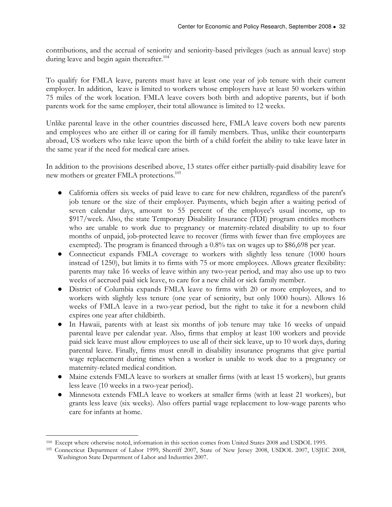contributions, and the accrual of seniority and seniority-based privileges (such as annual leave) stop during leave and begin again thereafter.<sup>104</sup>

To qualify for FMLA leave, parents must have at least one year of job tenure with their current employer. In addition, leave is limited to workers whose employers have at least 50 workers within 75 miles of the work location. FMLA leave covers both birth and adoptive parents, but if both parents work for the same employer, their total allowance is limited to 12 weeks.

Unlike parental leave in the other countries discussed here, FMLA leave covers both new parents and employees who are either ill or caring for ill family members. Thus, unlike their counterparts abroad, US workers who take leave upon the birth of a child forfeit the ability to take leave later in the same year if the need for medical care arises.

In addition to the provisions described above, 13 states offer either partially-paid disability leave for new mothers or greater FMLA protections.<sup>105</sup>

- California offers six weeks of paid leave to care for new children, regardless of the parent's job tenure or the size of their employer. Payments, which begin after a waiting period of seven calendar days, amount to 55 percent of the employee's usual income, up to \$917/week. Also, the state Temporary Disability Insurance (TDI) program entitles mothers who are unable to work due to pregnancy or maternity-related disability to up to four months of unpaid, job-protected leave to recover (firms with fewer than five employees are exempted). The program is financed through a 0.8% tax on wages up to \$86,698 per year.
- Connecticut expands FMLA coverage to workers with slightly less tenure (1000 hours instead of 1250), but limits it to firms with 75 or more employees. Allows greater flexibility: parents may take 16 weeks of leave within any two-year period, and may also use up to two weeks of accrued paid sick leave, to care for a new child or sick family member.
- District of Columbia expands FMLA leave to firms with 20 or more employees, and to workers with slightly less tenure (one year of seniority, but only 1000 hours). Allows 16 weeks of FMLA leave in a two-year period, but the right to take it for a newborn child expires one year after childbirth.
- In Hawaii, parents with at least six months of job tenure may take 16 weeks of unpaid parental leave per calendar year. Also, firms that employ at least 100 workers and provide paid sick leave must allow employees to use all of their sick leave, up to 10 work days, during parental leave. Finally, firms must enroll in disability insurance programs that give partial wage replacement during times when a worker is unable to work due to a pregnancy or maternity-related medical condition.
- Maine extends FMLA leave to workers at smaller firms (with at least 15 workers), but grants less leave (10 weeks in a two-year period).
- Minnesota extends FMLA leave to workers at smaller firms (with at least 21 workers), but grants less leave (six weeks). Also offers partial wage replacement to low-wage parents who care for infants at home.

 $\overline{a}$ <sup>104</sup> Except where otherwise noted, information in this section comes from United States 2008 and USDOL 1995.

<sup>105</sup> Connecticut Department of Labor 1999, Sherriff 2007, State of New Jersey 2008, USDOL 2007, USJEC 2008, Washington State Department of Labor and Industries 2007.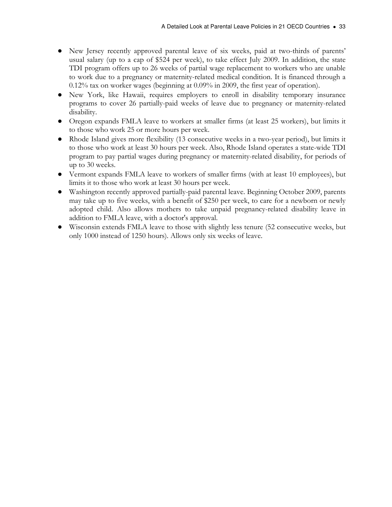- New Jersey recently approved parental leave of six weeks, paid at two-thirds of parents' usual salary (up to a cap of \$524 per week), to take effect July 2009. In addition, the state TDI program offers up to 26 weeks of partial wage replacement to workers who are unable to work due to a pregnancy or maternity-related medical condition. It is financed through a 0.12% tax on worker wages (beginning at 0.09% in 2009, the first year of operation).
- New York, like Hawaii, requires employers to enroll in disability temporary insurance programs to cover 26 partially-paid weeks of leave due to pregnancy or maternity-related disability.
- Oregon expands FMLA leave to workers at smaller firms (at least 25 workers), but limits it to those who work 25 or more hours per week.
- Rhode Island gives more flexibility (13 consecutive weeks in a two-year period), but limits it to those who work at least 30 hours per week. Also, Rhode Island operates a state-wide TDI program to pay partial wages during pregnancy or maternity-related disability, for periods of up to 30 weeks.
- Vermont expands FMLA leave to workers of smaller firms (with at least 10 employees), but limits it to those who work at least 30 hours per week.
- Washington recently approved partially-paid parental leave. Beginning October 2009, parents may take up to five weeks, with a benefit of \$250 per week, to care for a newborn or newly adopted child. Also allows mothers to take unpaid pregnancy-related disability leave in addition to FMLA leave, with a doctor's approval.
- Wisconsin extends FMLA leave to those with slightly less tenure (52 consecutive weeks, but only 1000 instead of 1250 hours). Allows only six weeks of leave.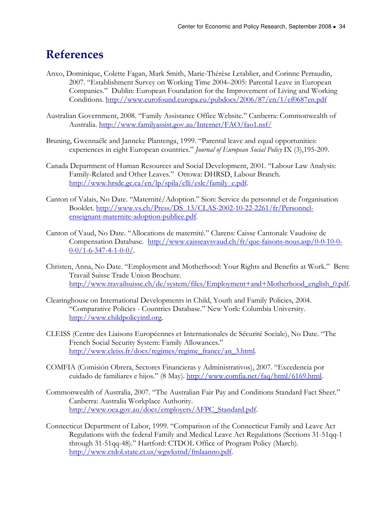# **References**

- Anxo, Dominique, Colette Fagan, Mark Smith, Marie-Thérèse Letablier, and Corinne Perraudin, 2007. "Establishment Survey on Working Time 2004–2005: Parental Leave in European Companies." Dublin: European Foundation for the Improvement of Living and Working Conditions. http://www.eurofound.europa.eu/pubdocs/2006/87/en/1/ef0687en.pdf
- Australian Government, 2008. "Family Assistance Office Website." Canberra: Commonwealth of Australia. http://www.familyassist.gov.au/Internet/FAO/fao1.nsf/
- Bruning, Gwennaële and Janneke Plantenga, 1999. "Parental leave and equal opportunities: experiences in eight European countries." Journal of European Social Policy IX (3),195-209.
- Canada Department of Human Resources and Social Development, 2001. "Labour Law Analysis: Family-Related and Other Leaves." Ottowa: DHRSD, Labour Branch. http://www.hrsdc.gc.ca/en/lp/spila/clli/eslc/family\_e.pdf.
- Canton of Valais, No Date. "Maternité/Adoption." Sion: Service du personnel et de l'organisation Booklet. http://www.vs.ch/Press/DS\_13/CLAS-2002-10-22-2261/fr/Personnelenseignant-maternite-adoption-publiee.pdf.
- Canton of Vaud, No Date. "Allocations de maternité." Clarens: Caisse Cantonale Vaudoise de Compensation Database. http://www.caisseavsvaud.ch/fr/que-faisons-nous.asp/0-0-10-0-  $0-0/1-6-347-4-1-0-0/$ .
- Christen, Anna, No Date. "Employment and Motherhood: Your Rights and Benefits at Work." Bern: Travail Suisse Trade Union Brochure. http://www.travailsuisse.ch/de/system/files/Employment+and+Motherhood\_english\_0.pdf.
- Clearinghouse on International Developments in Child, Youth and Family Policies, 2004. "Comparative Policies - Countries Database." New York: Columbia University. http://www.childpolicyintl.org.
- CLEISS (Centre des Liaisons Européennes et Internationales de Sécurité Sociale), No Date. "The French Social Security System: Family Allowances." http://www.cleiss.fr/docs/regimes/regime\_france/an\_3.html.
- COMFIA (Comisión Obrera, Sectores Financieras y Administrativos), 2007. "Excedencia por cuidado de familiares e hijos." (8 May). http://www.comfia.net/faq/html/6169.html.
- Commonwealth of Australia, 2007. "The Australian Fair Pay and Conditions Standard Fact Sheet." Canberra: Australia Workplace Authority. http://www.oea.gov.au/docs/employers/AFPC\_Standard.pdf.
- Connecticut Department of Labor, 1999. "Comparison of the Connecticut Family and Leave Act Regulations with the federal Family and Medical Leave Act Regulations (Sections 31-51qq-1 through 31-51qq-48)." Hartford: CTDOL Office of Program Policy (March). http://www.ctdol.state.ct.us/wgwkstnd/fmlaanno.pdf.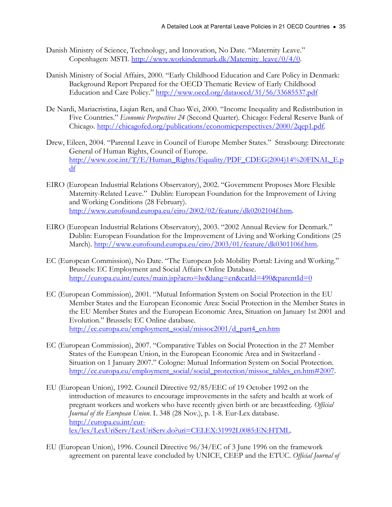- Danish Ministry of Science, Technology, and Innovation, No Date. "Maternity Leave." Copenhagen: MSTI. http://www.workindenmark.dk/Maternity\_leave/0/4/0.
- Danish Ministry of Social Affairs, 2000. "Early Childhood Education and Care Policy in Denmark: Background Report Prepared for the OECD Thematic Review of Early Childhood Education and Care Policy." http://www.oecd.org/dataoecd/31/56/33685537.pdf
- De Nardi, Mariacristina, Liqian Ren, and Chao Wei, 2000. "Income Inequality and Redistribution in Five Countries." Economic Perspectives 24 (Second Quarter). Chicago: Federal Reserve Bank of Chicago. http://chicagofed.org/publications/economicperspectives/2000/2qep1.pdf.
- Drew, Eileen, 2004. "Parental Leave in Council of Europe Member States." Strasbourg: Directorate General of Human Rights, Council of Europe. http://www.coe.int/T/E/Human\_Rights/Equality/PDF\_CDEG(2004)14%20FINAL\_E.p df
- EIRO (European Industrial Relations Observatory), 2002. "Government Proposes More Flexible Maternity-Related Leave." Dublin: European Foundation for the Improvement of Living and Working Conditions (28 February). http://www.eurofound.europa.eu/eiro/2002/02/feature/dk0202104f.htm.
- EIRO (European Industrial Relations Observatory), 2003. "2002 Annual Review for Denmark." Dublin: European Foundation for the Improvement of Living and Working Conditions (25 March). http://www.eurofound.europa.eu/eiro/2003/01/feature/dk0301106f.htm.
- EC (European Commission), No Date. "The European Job Mobility Portal: Living and Working." Brussels: EC Employment and Social Affairs Online Database. http://europa.eu.int/eures/main.jsp?acro=lw&lang=en&catId=490&parentId=0
- EC (European Commission), 2001. "Mutual Information System on Social Protection in the EU Member States and the European Economic Area: Social Protection in the Member States in the EU Member States and the European Economic Area, Situation on January 1st 2001 and Evolution." Brussels: EC Online database. http://ec.europa.eu/employment\_social/missoc2001/d\_part4\_en.htm
- EC (European Commission), 2007. "Comparative Tables on Social Protection in the 27 Member States of the European Union, in the European Economic Area and in Switzerland - Situation on 1 January 2007." Cologne: Mutual Information System on Social Protection. http://ec.europa.eu/employment\_social/social\_protection/missoc\_tables\_en.htm#2007.
- EU (European Union), 1992. Council Directive 92/85/EEC of 19 October 1992 on the introduction of measures to encourage improvements in the safety and health at work of pregnant workers and workers who have recently given birth or are breastfeeding. Official Journal of the European Union. L 348 (28 Nov.), p. 1-8. Eur-Lex database. http://europa.eu.int/eurlex/lex/LexUriServ/LexUriServ.do?uri=CELEX:31992L0085:EN:HTML.
- EU (European Union), 1996. Council Directive 96/34/EC of 3 June 1996 on the framework agreement on parental leave concluded by UNICE, CEEP and the ETUC. Official Journal of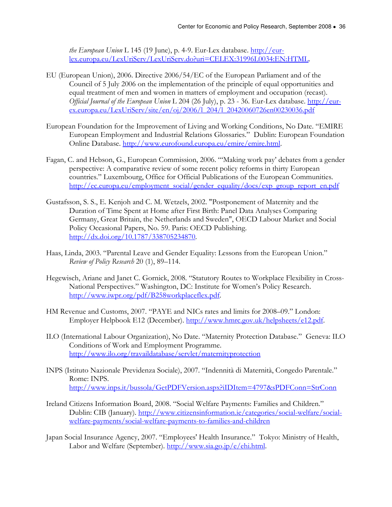the European Union L 145 (19 June), p. 4-9. Eur-Lex database.  $\frac{http://eur-1}{http://eur-1}$ lex.europa.eu/LexUriServ/LexUriServ.do?uri=CELEX:31996L0034:EN:HTML.

- EU (European Union), 2006. Directive 2006/54/EC of the European Parliament and of the Council of 5 July 2006 on the implementation of the principle of equal opportunities and equal treatment of men and women in matters of employment and occupation (recast). Official Journal of the European Union L 204 (26 July), p. 23 - 36. Eur-Lex database. http://eur $ex. europa.eu/LexUris'sev/site/en/oj/2006/1204/120420060726en00230036.pdf$
- European Foundation for the Improvement of Living and Working Conditions, No Date. "EMIRE European Employment and Industrial Relations Glossaries." Dublin: European Foundation Online Database. http://www.eurofound.europa.eu/emire/emire.html.
- Fagan, C. and Hebson, G., European Commission, 2006. "'Making work pay' debates from a gender perspective: A comparative review of some recent policy reforms in thirty European countries." Luxembourg, Office for Official Publications of the European Communities. http://ec.europa.eu/employment\_social/gender\_equality/docs/exp\_group\_report\_en.pdf
- Gustafsson, S. S., E. Kenjoh and C. M. Wetzels, 2002. "Postponement of Maternity and the Duration of Time Spent at Home after First Birth: Panel Data Analyses Comparing Germany, Great Britain, the Netherlands and Sweden", OECD Labour Market and Social Policy Occasional Papers, No. 59. Paris: OECD Publishing. http://dx.doi.org/10.1787/338705234870.
- Haas, Linda, 2003. "Parental Leave and Gender Equality: Lessons from the European Union." Review of Policy Research 20 (1), 89-114.
- Hegewisch, Ariane and Janet C. Gornick, 2008. "Statutory Routes to Workplace Flexibility in Cross-National Perspectives." Washington, DC: Institute for Women's Policy Research. http://www.iwpr.org/pdf/B258workplaceflex.pdf.
- HM Revenue and Customs, 2007. "PAYE and NICs rates and limits for 2008–09." London: Employer Helpbook E12 (December). http://www.hmrc.gov.uk/helpsheets/e12.pdf.
- ILO (International Labour Organization), No Date. "Maternity Protection Database." Geneva: ILO Conditions of Work and Employment Programme. http://www.ilo.org/travaildatabase/servlet/maternityprotection
- INPS (Istituto Nazionale Previdenza Sociale), 2007. "Indennità di Maternità, Congedo Parentale." Rome: INPS. http://www.inps.it/bussola/GetPDFVersion.aspx?iIDItem=4797&sPDFConn=StrConn
- Ireland Citizens Information Board, 2008. "Social Welfare Payments: Families and Children." Dublin: CIB (January). http://www.citizensinformation.ie/categories/social-welfare/socialwelfare-payments/social-welfare-payments-to-families-and-children
- Japan Social Insurance Agency, 2007. "Employees' Health Insurance." Tokyo: Ministry of Health, Labor and Welfare (September). http://www.sia.go.jp/e/ehi.html.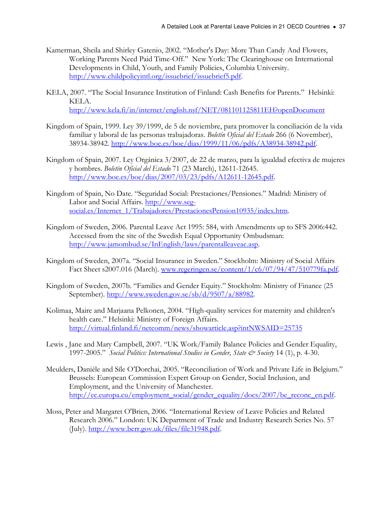- Kamerman, Sheila and Shirley Gatenio, 2002. "Mother's Day: More Than Candy And Flowers, Working Parents Need Paid Time-Off." New York: The Clearinghouse on International Developments in Child, Youth, and Family Policies, Columbia University. http://www.childpolicyintl.org/issuebrief/issuebrief5.pdf.
- KELA, 2007. "The Social Insurance Institution of Finland: Cash Benefits for Parents." Helsinki: KELA.

http://www.kela.fi/in/internet/english.nsf/NET/081101125811EH?openDocument

- Kingdom of Spain, 1999. Ley 39/1999, de 5 de noviembre, para promover la conciliación de la vida familiar y laboral de las personas trabajadoras. Boletín Oficial del Estado 266 (6 November), 38934-38942. http://www.boe.es/boe/dias/1999/11/06/pdfs/A38934-38942.pdf.
- Kingdom of Spain, 2007. Ley Orgánica 3/2007, de 22 de marzo, para la igualdad efectiva de mujeres y hombres. Boletín Oficial del Estado 71 (23 March), 12611-12645. http://www.boe.es/boe/dias/2007/03/23/pdfs/A12611-12645.pdf.
- Kingdom of Spain, No Date. "Seguridad Social: Prestaciones/Pensiones." Madrid: Ministry of Labor and Social Affairs. http://www.segsocial.es/Internet\_1/Trabajadores/PrestacionesPension10935/index.htm.
- Kingdom of Sweden, 2006. Parental Leave Act 1995: 584, with Amendments up to SFS 2006:442. Accessed from the site of the Swedish Equal Opportunity Ombudsman: http://www.jamombud.se/InEnglish/laws/parentalleaveac.asp.
- Kingdom of Sweden, 2007a. "Social Insurance in Sweden." Stockholm: Ministry of Social Affairs Fact Sheet s2007.016 (March). www.regeringen.se/content/1/c6/07/94/47/510779fa.pdf.
- Kingdom of Sweden, 2007b. "Families and Gender Equity." Stockholm: Ministry of Finance (25 September). http://www.sweden.gov.se/sb/d/9507/a/88982.
- Kolimaa, Maire and Marjaana Pelkonen, 2004. "High-quality services for maternity and children's health care." Helsinki: Ministry of Foreign Affairs. http://virtual.finland.fi/netcomm/news/showarticle.asp?intNWSAID=25735
- Lewis , Jane and Mary Campbell, 2007. "UK Work/Family Balance Policies and Gender Equality, 1997-2005." Social Politics: International Studies in Gender, State & Society 14 (1), p. 4-30.
- Meulders, Danièle and Síle O'Dorchai, 2005. "Reconciliation of Work and Private Life in Belgium." Brussels: European Commission Expert Group on Gender, Social Inclusion, and Employment, and the University of Manchester. http://ec.europa.eu/employment\_social/gender\_equality/docs/2007/be\_reconc\_en.pdf.
- Moss, Peter and Margaret O'Brien, 2006. "International Review of Leave Policies and Related Research 2006." London: UK Department of Trade and Industry Research Series No. 57 (July). http://www.berr.gov.uk/files/file31948.pdf.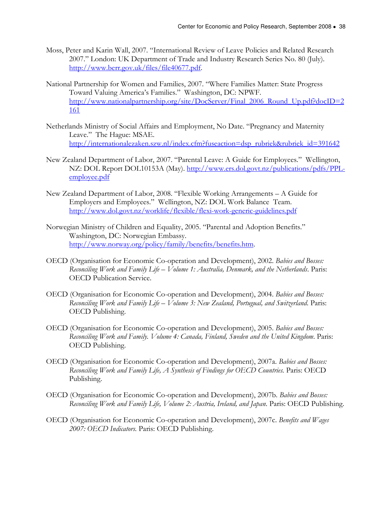- Moss, Peter and Karin Wall, 2007. "International Review of Leave Policies and Related Research 2007." London: UK Department of Trade and Industry Research Series No. 80 (July). http://www.berr.gov.uk/files/file40677.pdf.
- National Partnership for Women and Families, 2007. "Where Families Matter: State Progress Toward Valuing America's Families." Washington, DC: NPWF. http://www.nationalpartnership.org/site/DocServer/Final\_2006\_Round\_Up.pdf?docID=2 161
- Netherlands Ministry of Social Affairs and Employment, No Date. "Pregnancy and Maternity Leave." The Hague: MSAE. http://internationalezaken.szw.nl/index.cfm?fuseaction=dsp\_rubriek&rubriek\_id=391642
- New Zealand Department of Labor, 2007. "Parental Leave: A Guide for Employees." Wellington, NZ: DOL Report DOL10153A (May). http://www.ers.dol.govt.nz/publications/pdfs/PPLemployee.pdf
- New Zealand Department of Labor, 2008. "Flexible Working Arrangements A Guide for Employers and Employees." Wellington, NZ: DOL Work Balance Team. http://www.dol.govt.nz/worklife/flexible/flexi-work-generic-guidelines.pdf
- Norwegian Ministry of Children and Equality, 2005. "Parental and Adoption Benefits." Washington, DC: Norwegian Embassy. http://www.norway.org/policy/family/benefits/benefits.htm.
- OECD (Organisation for Economic Co-operation and Development), 2002. Babies and Bosses: Reconciling Work and Family Life – Volume 1: Australia, Denmark, and the Netherlands. Paris: OECD Publication Service.
- OECD (Organisation for Economic Co-operation and Development), 2004. Babies and Bosses: Reconciling Work and Family Life – Volume 3: New Zealand, Portugual, and Switzerland. Paris: OECD Publishing.
- OECD (Organisation for Economic Co-operation and Development), 2005. Babies and Bosses: Reconciling Work and Family. Volume 4: Canada, Finland, Sweden and the United Kingdom. Paris: OECD Publishing.
- OECD (Organisation for Economic Co-operation and Development), 2007a. Babies and Bosses: Reconciling Work and Family Life, A Synthesis of Findings for OECD Countries. Paris: OECD Publishing.
- OECD (Organisation for Economic Co-operation and Development), 2007b. Babies and Bosses: Reconciling Work and Family Life, Volume 2: Austria, Ireland, and Japan. Paris: OECD Publishing.
- OECD (Organisation for Economic Co-operation and Development), 2007c. Benefits and Wages 2007: OECD Indicators. Paris: OECD Publishing.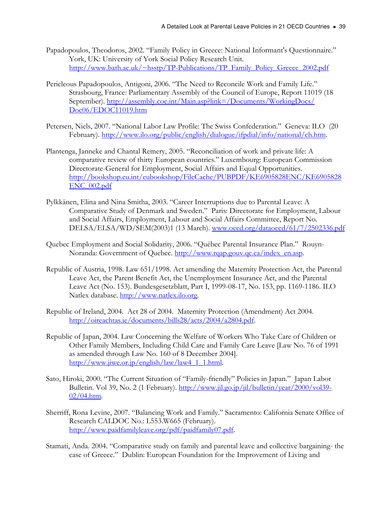- Papadopoulos, Theodoros, 2002. "Family Policy in Greece: National Informant's Questionnaire." York, UK: University of York Social Policy Research Unit. http://www.bath.ac.uk/~hsstp/TP-Publications/TP\_Family\_Policy\_Greece\_2002.pdf
- Pericleous Papadopoulos, Antigoni, 2006. "The Need to Reconcile Work and Family Life." Strasbourg, France: Parliamentary Assembly of the Council of Europe, Report 11019 (18 September). http://assembly.coe.int/Main.asp?link=/Documents/WorkingDocs/ Doc06/EDOC11019.htm
- Petersen, Niels, 2007. "National Labor Law Profile: The Swiss Confederation." Geneva: ILO (20 February). http://www.ilo.org/public/english/dialogue/ifpdial/info/national/ch.htm.
- Plantenga, Janneke and Chantal Remery, 2005. "Reconciliation of work and private life: A comparative review of thirty European countries." Luxembourg: European Commission Directorate-General for Employment, Social Affairs and Equal Opportunities. http://bookshop.eu.int/eubookshop/FileCache/PUBPDF/KE6905828ENC/KE6905828 ENC\_002.pdf
- Pylkkänen, Elina and Nina Smitha, 2003. "Career Interruptions due to Parental Leave: A Comparative Study of Denmark and Sweden." Paris: Directorate for Employment, Labour and Social Affairs, Employment, Labour and Social Affairs Committee, Report No. DELSA/ELSA/WD/SEM(2003)1 (13 March). www.oecd.org/dataoecd/61/7/2502336.pdf
- Quebec Employment and Social Solidarity, 2006. "Québec Parental Insurance Plan." Rouyn-Noranda: Government of Quebec. http://www.rqap.gouv.qc.ca/index\_en.asp.
- Republic of Austria, 1998. Law 651/1998. Act amending the Maternity Protection Act, the Parental Leave Act, the Parent Benefit Act, the Unemployment Insurance Act, and the Parental Leave Act (No. 153). Bundesgesetzblatt, Part I, 1999-08-17, No. 153, pp. 1169-1186. ILO Natlex database. http://www.natlex.ilo.org.
- Republic of Ireland, 2004. Act 28 of 2004. Maternity Protection (Amendment) Act 2004. http://oireachtas.ie/documents/bills28/acts/2004/a2804.pdf.
- Republic of Japan, 2004. Law Concerning the Welfare of Workers Who Take Care of Children or Other Family Members, Including Child Care and Family Care Leave [Law No. 76 of 1991 as amended through Law No. 160 of 8 December 2004]. http://www.jiwe.or.jp/english/law/law4\_1\_1.html.
- Sato, Hiroki, 2000. "The Current Situation of "Family-friendly" Policies in Japan." Japan Labor Bulletin. Vol 39, No. 2 (1 February). http://www.jil.go.jp/jil/bulletin/year/2000/vol39- 02/04.htm.
- Sherriff, Rona Levine, 2007. "Balancing Work and Family." Sacramento: California Senate Office of Research CALDOC No.: L553.W665 (February). http://www.paidfamilyleave.org/pdf/paidfamily07.pdf.
- Stamati, Anda. 2004. "Comparative study on family and parental leave and collective bargaining- the case of Greece." Dublin: European Foundation for the Improvement of Living and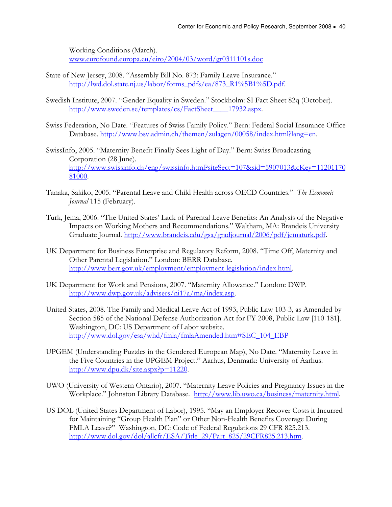Working Conditions (March). www.eurofound.europa.eu/eiro/2004/03/word/gr0311101s.doc

- State of New Jersey, 2008. "Assembly Bill No. 873: Family Leave Insurance." http://lwd.dol.state.nj.us/labor/forms\_pdfs/ea/873\_R1%5B1%5D.pdf.
- Swedish Institute, 2007. "Gender Equality in Sweden." Stockholm: SI Fact Sheet 82q (October). http://www.sweden.se/templates/cs/FactSheet\_\_\_\_17932.aspx.
- Swiss Federation, No Date. "Features of Swiss Family Policy." Bern: Federal Social Insurance Office Database. http://www.bsv.admin.ch/themen/zulagen/00058/index.html?lang=en.
- SwissInfo, 2005. "Maternity Benefit Finally Sees Light of Day." Bern: Swiss Broadcasting Corporation (28 June). http://www.swissinfo.ch/eng/swissinfo.html?siteSect=107&sid=5907013&cKey=11201170 81000.
- Tanaka, Sakiko, 2005. "Parental Leave and Child Health across OECD Countries." The Economic Journal 115 (February).
- Turk, Jema, 2006. "The United States' Lack of Parental Leave Benefits: An Analysis of the Negative Impacts on Working Mothers and Recommendations." Waltham, MA: Brandeis University Graduate Journal. http://www.brandeis.edu/gsa/gradjournal/2006/pdf/jematurk.pdf.
- UK Department for Business Enterprise and Regulatory Reform, 2008. "Time Off, Maternity and Other Parental Legislation." London: BERR Database. http://www.berr.gov.uk/employment/employment-legislation/index.html.
- UK Department for Work and Pensions, 2007. "Maternity Allowance." London: DWP. http://www.dwp.gov.uk/advisers/ni17a/ma/index.asp.
- United States, 2008. The Family and Medical Leave Act of 1993, Public Law 103-3, as Amended by Section 585 of the National Defense Authorization Act for FY 2008, Public Law [110-181]. Washington, DC: US Department of Labor website. http://www.dol.gov/esa/whd/fmla/fmlaAmended.htm#SEC\_104\_EBP
- UPGEM (Understanding Puzzles in the Gendered European Map), No Date. "Maternity Leave in the Five Countries in the UPGEM Project." Aarhus, Denmark: University of Aarhus. http://www.dpu.dk/site.aspx?p=11220.
- UWO (University of Western Ontario), 2007. "Maternity Leave Policies and Pregnancy Issues in the Workplace." Johnston Library Database. http://www.lib.uwo.ca/business/maternity.html.
- US DOL (United States Department of Labor), 1995. "May an Employer Recover Costs it Incurred for Maintaining "Group Health Plan" or Other Non-Health Benefits Coverage During FMLA Leave?" Washington, DC: Code of Federal Regulations 29 CFR 825.213. http://www.dol.gov/dol/allcfr/ESA/Title\_29/Part\_825/29CFR825.213.htm.